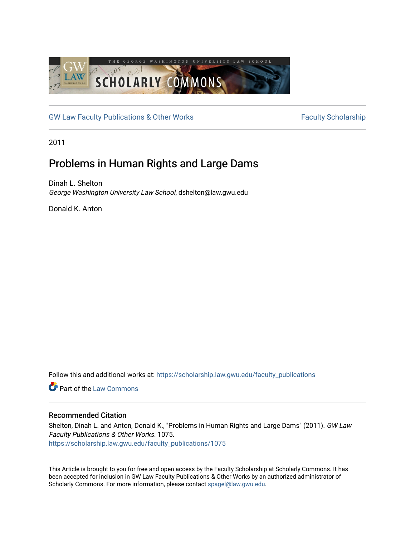

[GW Law Faculty Publications & Other Works](https://scholarship.law.gwu.edu/faculty_publications) Faculty Scholarship

2011

# Problems in Human Rights and Large Dams

Dinah L. Shelton George Washington University Law School, dshelton@law.gwu.edu

Donald K. Anton

Follow this and additional works at: [https://scholarship.law.gwu.edu/faculty\\_publications](https://scholarship.law.gwu.edu/faculty_publications?utm_source=scholarship.law.gwu.edu%2Ffaculty_publications%2F1075&utm_medium=PDF&utm_campaign=PDFCoverPages) 

**C** Part of the [Law Commons](http://network.bepress.com/hgg/discipline/578?utm_source=scholarship.law.gwu.edu%2Ffaculty_publications%2F1075&utm_medium=PDF&utm_campaign=PDFCoverPages)

### Recommended Citation

Shelton, Dinah L. and Anton, Donald K., "Problems in Human Rights and Large Dams" (2011). GW Law Faculty Publications & Other Works. 1075. [https://scholarship.law.gwu.edu/faculty\\_publications/1075](https://scholarship.law.gwu.edu/faculty_publications/1075?utm_source=scholarship.law.gwu.edu%2Ffaculty_publications%2F1075&utm_medium=PDF&utm_campaign=PDFCoverPages)

This Article is brought to you for free and open access by the Faculty Scholarship at Scholarly Commons. It has been accepted for inclusion in GW Law Faculty Publications & Other Works by an authorized administrator of Scholarly Commons. For more information, please contact [spagel@law.gwu.edu](mailto:spagel@law.gwu.edu).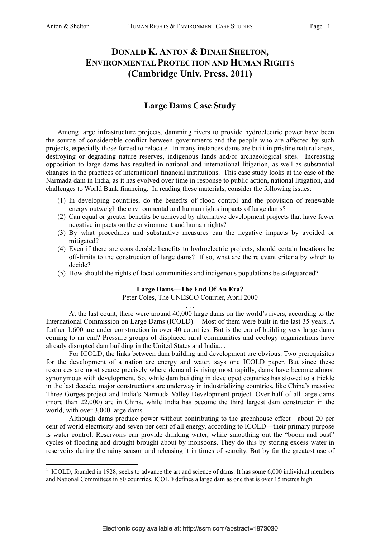$\overline{a}$ 

## **DONALD K. ANTON & DINAH SHELTON, ENVIRONMENTAL PROTECTION AND HUMAN RIGHTS (Cambridge Univ. Press, 2011)**

## **Large Dams Case Study**

Among large infrastructure projects, damming rivers to provide hydroelectric power have been the source of considerable conflict between governments and the people who are affected by such projects, especially those forced to relocate. In many instances dams are built in pristine natural areas, destroying or degrading nature reserves, indigenous lands and/or archaeological sites. Increasing opposition to large dams has resulted in national and international litigation, as well as substantial changes in the practices of international financial institutions. This case study looks at the case of the Narmada dam in India, as it has evolved over time in response to public action, national litigation, and challenges to World Bank financing. In reading these materials, consider the following issues:

- (1) In developing countries, do the benefits of flood control and the provision of renewable energy outweigh the environmental and human rights impacts of large dams?
- (2) Can equal or greater benefits be achieved by alternative development projects that have fewer negative impacts on the environment and human rights?
- (3) By what procedures and substantive measures can the negative impacts by avoided or mitigated?
- (4) Even if there are considerable benefits to hydroelectric projects, should certain locations be off-limits to the construction of large dams? If so, what are the relevant criteria by which to decide?
- (5) How should the rights of local communities and indigenous populations be safeguarded?

#### **Large Dams—The End Of An Era?**

Peter Coles, The UNESCO Courrier, April 2000 . . .

At the last count, there were around 40,000 large dams on the world's rivers, according to the International Commission on Large Dams (ICOLD).<sup>[1](#page-1-0)</sup> Most of them were built in the last 35 years. A further 1,600 are under construction in over 40 countries. But is the era of building very large dams coming to an end? Pressure groups of displaced rural communities and ecology organizations have already disrupted dam building in the United States and India....

For ICOLD, the links between dam building and development are obvious. Two prerequisites for the development of a nation are energy and water, says one ICOLD paper. But since these resources are most scarce precisely where demand is rising most rapidly, dams have become almost synonymous with development. So, while dam building in developed countries has slowed to a trickle in the last decade, major constructions are underway in industrializing countries, like China's massive Three Gorges project and India's Narmada Valley Development project. Over half of all large dams (more than 22,000) are in China, while India has become the third largest dam constructor in the world, with over 3,000 large dams.

Although dams produce power without contributing to the greenhouse effect—about 20 per cent of world electricity and seven per cent of all energy, according to ICOLD—their primary purpose is water control. Reservoirs can provide drinking water, while smoothing out the "boom and bust" cycles of flooding and drought brought about by monsoons. They do this by storing excess water in reservoirs during the rainy season and releasing it in times of scarcity. But by far the greatest use of

<span id="page-1-0"></span><sup>&</sup>lt;sup>1</sup> ICOLD, founded in 1928, seeks to advance the art and science of dams. It has some 6,000 individual members and National Committees in 80 countries. ICOLD defines a large dam as one that is over 15 metres high.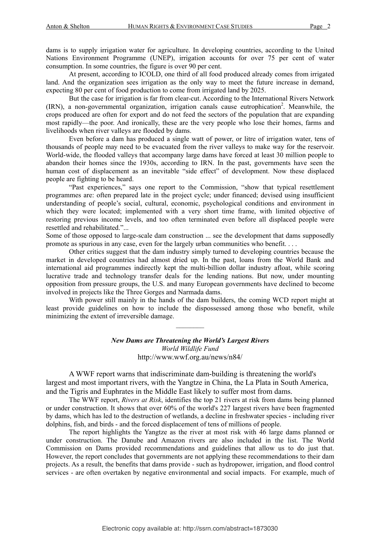dams is to supply irrigation water for agriculture. In developing countries, according to the United Nations Environment Programme (UNEP), irrigation accounts for over 75 per cent of water consumption. In some countries, the figure is over 90 per cent.

At present, according to ICOLD, one third of all food produced already comes from irrigated land. And the organization sees irrigation as the only way to meet the future increase in demand, expecting 80 per cent of food production to come from irrigated land by 2025.

But the case for irrigation is far from clear-cut. According to the International Rivers Network (IRN), a non-governmental organization, irrigation canals cause eutrophication<sup>2</sup>. Meanwhile, the crops produced are often for export and do not feed the sectors of the population that are expanding most rapidly—the poor. And ironically, these are the very people who lose their homes, farms and livelihoods when river valleys are flooded by dams.

Even before a dam has produced a single watt of power, or litre of irrigation water, tens of thousands of people may need to be evacuated from the river valleys to make way for the reservoir. World-wide, the flooded valleys that accompany large dams have forced at least 30 million people to abandon their homes since the 1930s, according to IRN. In the past, governments have seen the human cost of displacement as an inevitable "side effect" of development. Now these displaced people are fighting to be heard.

"Past experiences," says one report to the Commission, "show that typical resettlement programmes are: often prepared late in the project cycle; under financed; devised using insufficient understanding of people's social, cultural, economic, psychological conditions and environment in which they were located; implemented with a very short time frame, with limited objective of restoring previous income levels, and too often terminated even before all displaced people were resettled and rehabilitated."...

Some of those opposed to large-scale dam construction ... see the development that dams supposedly promote as spurious in any case, even for the largely urban communities who benefit. . . .

Other critics suggest that the dam industry simply turned to developing countries because the market in developed countries had almost dried up. In the past, loans from the World Bank and international aid programmes indirectly kept the multi-billion dollar industry afloat, while scoring lucrative trade and technology transfer deals for the lending nations. But now, under mounting opposition from pressure groups, the U.S. and many European governments have declined to become involved in projects like the Three Gorges and Narmada dams.

With power still mainly in the hands of the dam builders, the coming WCD report might at least provide guidelines on how to include the dispossessed among those who benefit, while minimizing the extent of irreversible damage.

 $\frac{1}{2}$ 

*New Dams are Threatening the World's Largest Rivers World Wildlife Fund*  http://www.wwf.org.au/news/n84/

A WWF report warns that indiscriminate dam-building is threatening the world's largest and most important rivers, with the Yangtze in China, the La Plata in South America, and the Tigris and Euphrates in the Middle East likely to suffer most from dams.

The WWF report, *[Rivers at Risk](http://www.panda.org/about_wwf/what_we_do/freshwater/our_solutions/policy_practice/dams_initiative/11952)*, identifies the top 21 rivers at risk from dams being planned or under construction. It shows that over 60% of the world's 227 largest rivers have been fragmented by dams, which has led to the destruction of wetlands, a decline in freshwater species - including river dolphins, fish, and birds - and the forced displacement of tens of millions of people.

The report highlights the Yangtze as the river at most risk with 46 large dams planned or under construction. The Danube and Amazon rivers are also included in the list. The World Commission on Dams provided recommendations and guidelines that allow us to do just that. However, the report concludes that governments are not applying these recommendations to their dam projects. As a result, the benefits that dams provide - such as hydropower, irrigation, and flood control services - are often overtaken by negative environmental and social impacts. For example, much of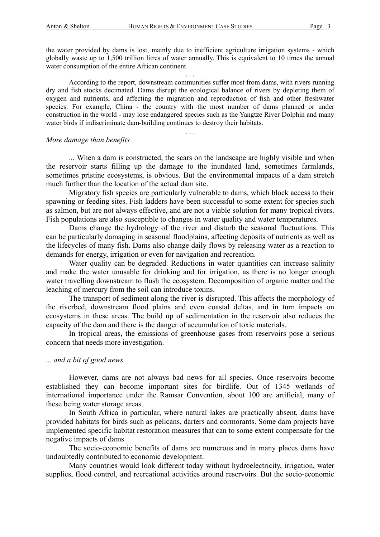the water provided by dams is lost, mainly due to inefficient agriculture irrigation systems - which globally waste up to 1,500 trillion litres of water annually. This is equivalent to 10 times the annual water consumption of the entire African continent.

. . .

According to the report, downstream communities suffer most from dams, with rivers running dry and fish stocks decimated. Dams disrupt the ecological balance of rivers by depleting them of oxygen and nutrients, and affecting the migration and reproduction of fish and other freshwater species. For example, China - the country with the most number of dams planned or under construction in the world - may lose endangered species such as the Yangtze River Dolphin and many water birds if indiscriminate dam-building continues to destroy their habitats.

. . .

#### *More damage than benefits*

... When a dam is constructed, the scars on the landscape are highly visible and when the reservoir starts filling up the damage to the inundated land, sometimes farmlands, sometimes pristine ecosystems, is obvious. But the environmental impacts of a dam stretch much further than the location of the actual dam site.

Migratory fish species are particularly vulnerable to dams, which block access to their spawning or feeding sites. Fish ladders have been successful to some extent for species such as salmon, but are not always effective, and are not a viable solution for many tropical rivers. Fish populations are also susceptible to changes in water quality and water temperatures.

Dams change the hydrology of the river and disturb the seasonal fluctuations. This can be particularly damaging in seasonal floodplains, affecting deposits of nutrients as well as the lifecycles of many fish. Dams also change daily flows by releasing water as a reaction to demands for energy, irrigation or even for navigation and recreation.

Water quality can be degraded. Reductions in water quantities can increase salinity and make the water unusable for drinking and for irrigation, as there is no longer enough water travelling downstream to flush the ecosystem. Decomposition of organic matter and the leaching of mercury from the soil can introduce toxins.

The transport of sediment along the river is disrupted. This affects the morphology of the riverbed, downstream flood plains and even coastal deltas, and in turn impacts on ecosystems in these areas. The build up of sedimentation in the reservoir also reduces the capacity of the dam and there is the danger of accumulation of toxic materials.

In tropical areas, the emissions of greenhouse gases from reservoirs pose a serious concern that needs more investigation.

## *... and a bit of good news*

However, dams are not always bad news for all species. Once reservoirs become established they can become important sites for birdlife. Out of 1345 wetlands of international importance under the Ramsar Convention, about 100 are artificial, many of these being water storage areas.

In South Africa in particular, where natural lakes are practically absent, dams have provided habitats for birds such as pelicans, darters and cormorants. Some dam projects have implemented specific habitat restoration measures that can to some extent compensate for the negative impacts of dams

The socio-economic benefits of dams are numerous and in many places dams have undoubtedly contributed to economic development.

Many countries would look different today without hydroelectricity, irrigation, water supplies, flood control, and recreational activities around reservoirs. But the socio-economic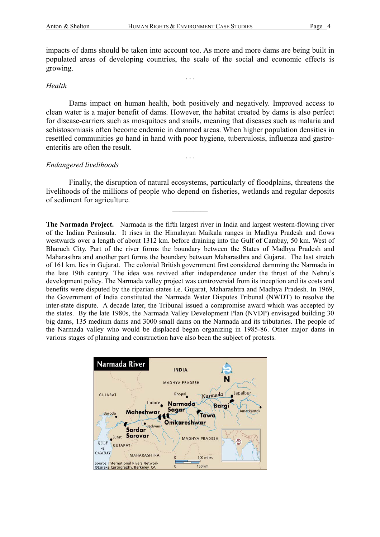impacts of dams should be taken into account too. As more and more dams are being built in populated areas of developing countries, the scale of the social and economic effects is growing.

. . .

#### *Health*

Dams impact on human health, both positively and negatively. Improved access to clean water is a major benefit of dams. However, the habitat created by dams is also perfect for disease-carriers such as mosquitoes and snails, meaning that diseases such as malaria and schistosomiasis often become endemic in dammed areas. When higher population densities in resettled communities go hand in hand with poor hygiene, tuberculosis, influenza and gastroenteritis are often the result.

. . .

#### *Endangered livelihoods*

Finally, the disruption of natural ecosystems, particularly of floodplains, threatens the livelihoods of the millions of people who depend on fisheries, wetlands and regular deposits of sediment for agriculture.

 $\mathcal{L}_\text{max}$ 

**The Narmada Project.** Narmada is the fifth largest river in India and largest western-flowing river of the Indian Peninsula. It rises in the Himalayan Maikala ranges in Madhya Pradesh and flows westwards over a length of about 1312 km. before draining into the Gulf of Cambay, 50 km. West of Bharuch City. Part of the river forms the boundary between the States of Madhya Pradesh and Maharasthra and another part forms the boundary between Maharasthra and Gujarat. The last stretch of 161 km. lies in Gujarat. The colonial British government first considered damming the Narmada in the late 19th century. The idea was revived after independence under the thrust of the Nehru's development policy. The Narmada valley project was controversial from its inception and its costs and benefits were disputed by the riparian states i.e. Gujarat, Maharashtra and Madhya Pradesh. In 1969, the Government of India constituted the Narmada Water Disputes Tribunal (NWDT) to resolve the inter-state dispute. A decade later, the Tribunal issued a compromise award which was accepted by the states. By the late 1980s, the Narmada Valley Development Plan (NVDP) envisaged building 30 big dams, 135 medium dams and 3000 small dams on the Narmada and its tributaries. The people of the Narmada valley who would be displaced began organizing in 1985-86. Other major dams in various stages of planning and construction have also been the subject of protests.

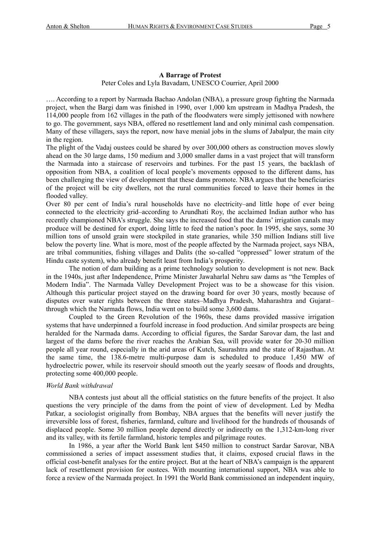#### **A Barrage of Protest**

Peter Coles and Lyla Bavadam, UNESCO Courrier, April 2000

…. According to a report by Narmada Bachao Andolan (NBA), a pressure group fighting the Narmada project, when the Bargi dam was finished in 1990, over 1,000 km upstream in Madhya Pradesh, the 114,000 people from 162 villages in the path of the floodwaters were simply jettisoned with nowhere to go. The government, says NBA, offered no resettlement land and only minimal cash compensation. Many of these villagers, says the report, now have menial jobs in the slums of Jabalpur, the main city in the region.

The plight of the Vadaj oustees could be shared by over 300,000 others as construction moves slowly ahead on the 30 large dams, 150 medium and 3,000 smaller dams in a vast project that will transform the Narmada into a staircase of reservoirs and turbines. For the past 15 years, the backlash of opposition from NBA, a coalition of local people's movements opposed to the different dams, has been challenging the view of development that these dams promote. NBA argues that the beneficiaries of the project will be city dwellers, not the rural communities forced to leave their homes in the flooded valley.

Over 80 per cent of India's rural households have no electricity–and little hope of ever being connected to the electricity grid–according to Arundhati Roy, the acclaimed Indian author who has recently championed NBA's struggle. She says the increased food that the dams' irrigation canals may produce will be destined for export, doing little to feed the nation's poor. In 1995, she says, some 30 million tons of unsold grain were stockpiled in state granaries, while 350 million Indians still live below the poverty line. What is more, most of the people affected by the Narmada project, says NBA, are tribal communities, fishing villages and Dalits (the so-called "oppressed" lower stratum of the Hindu caste system), who already benefit least from India's prosperity.

 The notion of dam building as a prime technology solution to development is not new. Back in the 1940s, just after Independence, Prime Minister Jawaharlal Nehru saw dams as "the Temples of Modern India". The Narmada Valley Development Project was to be a showcase for this vision. Although this particular project stayed on the drawing board for over 30 years, mostly because of disputes over water rights between the three states–Madhya Pradesh, Maharashtra and Gujarat– through which the Narmada flows, India went on to build some 3,600 dams.

 Coupled to the Green Revolution of the 1960s, these dams provided massive irrigation systems that have underpinned a fourfold increase in food production. And similar prospects are being heralded for the Narmada dams. According to official figures, the Sardar Sarovar dam, the last and largest of the dams before the river reaches the Arabian Sea, will provide water for 20-30 million people all year round, especially in the arid areas of Kutch, Saurashtra and the state of Rajasthan. At the same time, the 138.6-metre multi-purpose dam is scheduled to produce 1,450 MW of hydroelectric power, while its reservoir should smooth out the yearly seesaw of floods and droughts, protecting some 400,000 people.

#### *World Bank withdrawal*

 NBA contests just about all the official statistics on the future benefits of the project. It also questions the very principle of the dams from the point of view of development. Led by Medha Patkar, a sociologist originally from Bombay, NBA argues that the benefits will never justify the irreversible loss of forest, fisheries, farmland, culture and livelihood for the hundreds of thousands of displaced people. Some 30 million people depend directly or indirectly on the 1,312-km-long river and its valley, with its fertile farmland, historic temples and pilgrimage routes.

 In 1986, a year after the World Bank lent \$450 million to construct Sardar Sarovar, NBA commissioned a series of impact assessment studies that, it claims, exposed crucial flaws in the official cost-benefit analyses for the entire project. But at the heart of NBA's campaign is the apparent lack of resettlement provision for oustees. With mounting international support, NBA was able to force a review of the Narmada project. In 1991 the World Bank commissioned an independent inquiry,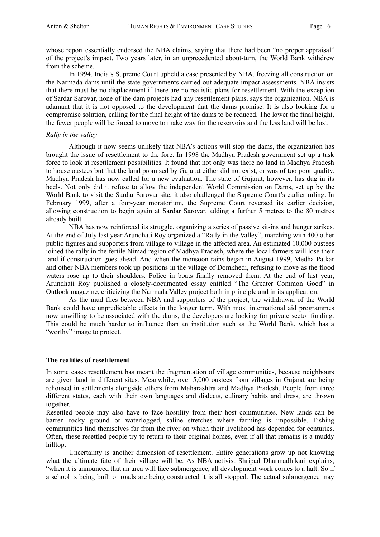whose report essentially endorsed the NBA claims, saying that there had been "no proper appraisal" of the project's impact. Two years later, in an unprecedented about-turn, the World Bank withdrew from the scheme.

 In 1994, India's Supreme Court upheld a case presented by NBA, freezing all construction on the Narmada dams until the state governments carried out adequate impact assessments. NBA insists that there must be no displacement if there are no realistic plans for resettlement. With the exception of Sardar Sarovar, none of the dam projects had any resettlement plans, says the organization. NBA is adamant that it is not opposed to the development that the dams promise. It is also looking for a compromise solution, calling for the final height of the dams to be reduced. The lower the final height, the fewer people will be forced to move to make way for the reservoirs and the less land will be lost.

#### *Rally in the valley*

 Although it now seems unlikely that NBA's actions will stop the dams, the organization has brought the issue of resettlement to the fore. In 1998 the Madhya Pradesh government set up a task force to look at resettlement possibilities. It found that not only was there no land in Madhya Pradesh to house oustees but that the land promised by Gujarat either did not exist, or was of too poor quality. Madhya Pradesh has now called for a new evaluation. The state of Gujarat, however, has dug in its heels. Not only did it refuse to allow the independent World Commission on Dams, set up by the World Bank to visit the Sardar Sarovar site, it also challenged the Supreme Court's earlier ruling. In February 1999, after a four-year moratorium, the Supreme Court reversed its earlier decision, allowing construction to begin again at Sardar Sarovar, adding a further 5 metres to the 80 metres already built.

 NBA has now reinforced its struggle, organizing a series of passive sit-ins and hunger strikes. At the end of July last year Arundhati Roy organized a "Rally in the Valley", marching with 400 other public figures and supporters from village to village in the affected area. An estimated 10,000 oustees joined the rally in the fertile Nimad region of Madhya Pradesh, where the local farmers will lose their land if construction goes ahead. And when the monsoon rains began in August 1999, Medha Patkar and other NBA members took up positions in the village of Domkhedi, refusing to move as the flood waters rose up to their shoulders. Police in boats finally removed them. At the end of last year, Arundhati Roy published a closely-documented essay entitled "The Greater Common Good" in Outlook magazine, criticizing the Narmada Valley project both in principle and in its application.

 As the mud flies between NBA and supporters of the project, the withdrawal of the World Bank could have unpredictable effects in the longer term. With most international aid programmes now unwilling to be associated with the dams, the developers are looking for private sector funding. This could be much harder to influence than an institution such as the World Bank, which has a "worthy" image to protect.

#### **The realities of resettlement**

In some cases resettlement has meant the fragmentation of village communities, because neighbours are given land in different sites. Meanwhile, over 5,000 oustees from villages in Gujarat are being rehoused in settlements alongside others from Maharashtra and Madhya Pradesh. People from three different states, each with their own languages and dialects, culinary habits and dress, are thrown together.

Resettled people may also have to face hostility from their host communities. New lands can be barren rocky ground or waterlogged, saline stretches where farming is impossible. Fishing communities find themselves far from the river on which their livelihood has depended for centuries. Often, these resettled people try to return to their original homes, even if all that remains is a muddy hilltop.

 Uncertainty is another dimension of resettlement. Entire generations grow up not knowing what the ultimate fate of their village will be. As NBA activist Shripad Dharmadhikari explains, "when it is announced that an area will face submergence, all development work comes to a halt. So if a school is being built or roads are being constructed it is all stopped. The actual submergence may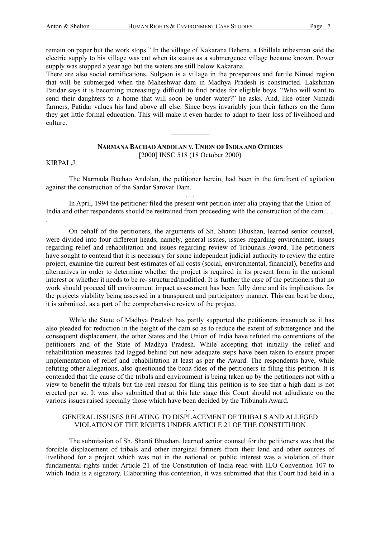remain on paper but the work stops." In the village of Kakarana Behena, a Bhillala tribesman said the electric supply to his village was cut when its status as a submergence village became known. Power supply was stopped a year ago but the waters are still below Kakarana.

There are also social ramifications. Sulgaon is a village in the prosperous and fertile Nimad region that will be submerged when the Maheshwar dam in Madhya Pradesh is constructed. Lakshman Patidar says it is becoming increasingly difficult to find brides for eligible boys. "Who will want to send their daughters to a home that will soon be under water?" he asks. And, like other Nimadi farmers, Patidar values his land above all else. Since boys invariably join their fathers on the farm they get little formal education. This will make it even harder to adapt to their loss of livelihood and culture.

#### **NARMANA BACHAO ANDOLAN V. UNION OF INDIA AND OTHERS** [2000] INSC 518 (18 October 2000)

**\_\_\_\_\_\_\_\_\_\_\_** 

KIRPAL,J.

.

. . . The Narmada Bachao Andolan, the petitioner herein, had been in the forefront of agitation against the construction of the Sardar Sarovar Dam. . . .

In April, 1994 the petitioner filed the present writ petition inter alia praying that the Union of India and other respondents should be restrained from proceeding with the construction of the dam. . .

On behalf of the petitioners, the arguments of Sh. Shanti Bhushan, learned senior counsel, were divided into four different heads, namely, general issues, issues regarding environment, issues regarding relief and rehabilitation and issues regarding review of Tribunals Award. The petitioners have sought to contend that it is necessary for some independent judicial authority to review the entire project, examine the current best estimates of all costs (social, environmental, financial), benefits and alternatives in order to determine whether the project is required in its present form in the national interest or whether it needs to be re- structured/modified. It is further the case of the petitioners that no work should proceed till environment impact assessment has been fully done and its implications for the projects viability being assessed in a transparent and participatory manner. This can best be done, it is submitted, as a part of the comprehensive review of the project.

. . .

While the State of Madhya Pradesh has partly supported the petitioners inasmuch as it has also pleaded for reduction in the height of the dam so as to reduce the extent of submergence and the consequent displacement, the other States and the Union of India have refuted the contentions of the petitioners and of the State of Madhya Pradesh. While accepting that initially the relief and rehabilitation measures had lagged behind but now adequate steps have been taken to ensure proper implementation of relief and rehabilitation at least as per the Award. The respondents have, while refuting other allegations, also questioned the bona fides of the petitioners in filing this petition. It is contended that the cause of the tribals and environment is being taken up by the petitioners not with a view to benefit the tribals but the real reason for filing this petition is to see that a high dam is not erected per se. It was also submitted that at this late stage this Court should not adjudicate on the various issues raised specially those which have been decided by the Tribunals Award.

#### . . . GENERAL ISSUSES RELATING TO DISPLACEMENT OF TRIBALS AND ALLEGED VIOLATION OF THE RIGHTS UNDER ARTICLE 21 OF THE CONSTITUION

The submission of Sh. Shanti Bhushan, learned senior counsel for the petitioners was that the forcible displacement of tribals and other marginal farmers from their land and other sources of livelihood for a project which was not in the national or public interest was a violation of their fundamental rights under Article 21 of the Constitution of India read with ILO Convention 107 to which India is a signatory. Elaborating this contention, it was submitted that this Court had held in a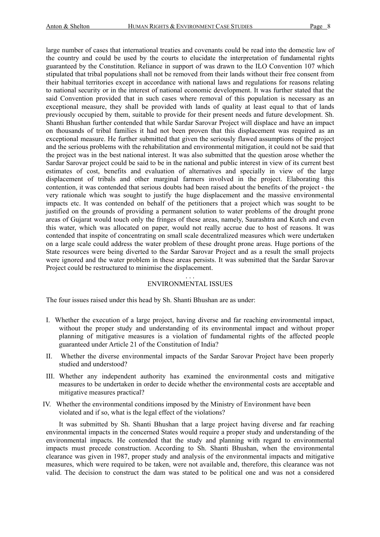large number of cases that international treaties and covenants could be read into the domestic law of the country and could be used by the courts to elucidate the interpretation of fundamental rights guaranteed by the Constitution. Reliance in support of was drawn to the ILO Convention 107 which stipulated that tribal populations shall not be removed from their lands without their free consent from their habitual territories except in accordance with national laws and regulations for reasons relating to national security or in the interest of national economic development. It was further stated that the said Convention provided that in such cases where removal of this population is necessary as an exceptional measure, they shall be provided with lands of quality at least equal to that of lands previously occupied by them, suitable to provide for their present needs and future development. Sh. Shanti Bhushan further contended that while Sardar Sarovar Project will displace and have an impact on thousands of tribal families it had not been proven that this displacement was required as an exceptional measure. He further submitted that given the seriously flawed assumptions of the project and the serious problems with the rehabilitation and environmental mitigation, it could not be said that the project was in the best national interest. It was also submitted that the question arose whether the Sardar Sarovar project could be said to be in the national and public interest in view of its current best estimates of cost, benefits and evaluation of alternatives and specially in view of the large displacement of tribals and other marginal farmers involved in the project. Elaborating this contention, it was contended that serious doubts had been raised about the benefits of the project - the very rationale which was sought to justify the huge displacement and the massive environmental impacts etc. It was contended on behalf of the petitioners that a project which was sought to be justified on the grounds of providing a permanent solution to water problems of the drought prone areas of Gujarat would touch only the fringes of these areas, namely, Saurashtra and Kutch and even this water, which was allocated on paper, would not really accrue due to host of reasons. It was contended that inspite of concentrating on small scale decentralized measures which were undertaken on a large scale could address the water problem of these drought prone areas. Huge portions of the State resources were being diverted to the Sardar Sarovar Project and as a result the small projects were ignored and the water problem in these areas persists. It was submitted that the Sardar Sarovar Project could be restructured to minimise the displacement.

#### . . . ENVIRONMENTAL ISSUES

The four issues raised under this head by Sh. Shanti Bhushan are as under:

- I. Whether the execution of a large project, having diverse and far reaching environmental impact, without the proper study and understanding of its environmental impact and without proper planning of mitigative measures is a violation of fundamental rights of the affected people guaranteed under Article 21 of the Constitution of India?
- II. Whether the diverse environmental impacts of the Sardar Sarovar Project have been properly studied and understood?
- III. Whether any independent authority has examined the environmental costs and mitigative measures to be undertaken in order to decide whether the environmental costs are acceptable and mitigative measures practical?
- IV. Whether the environmental conditions imposed by the Ministry of Environment have been violated and if so, what is the legal effect of the violations?

It was submitted by Sh. Shanti Bhushan that a large project having diverse and far reaching environmental impacts in the concerned States would require a proper study and understanding of the environmental impacts. He contended that the study and planning with regard to environmental impacts must precede construction. According to Sh. Shanti Bhushan, when the environmental clearance was given in 1987, proper study and analysis of the environmental impacts and mitigative measures, which were required to be taken, were not available and, therefore, this clearance was not valid. The decision to construct the dam was stated to be political one and was not a considered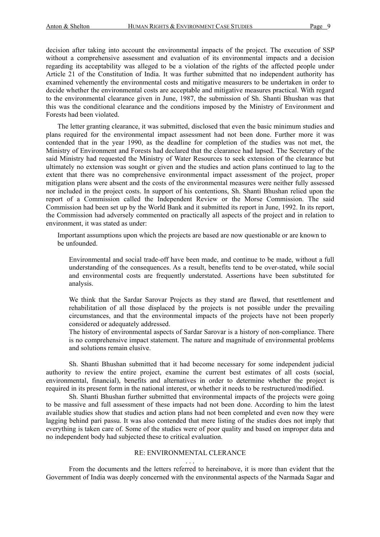decision after taking into account the environmental impacts of the project. The execution of SSP without a comprehensive assessment and evaluation of its environmental impacts and a decision regarding its acceptability was alleged to be a violation of the rights of the affected people under Article 21 of the Constitution of India. It was further submitted that no independent authority has examined vehemently the environmental costs and mitigative measurers to be undertaken in order to decide whether the environmental costs are acceptable and mitigative measures practical. With regard to the environmental clearance given in June, 1987, the submission of Sh. Shanti Bhushan was that this was the conditional clearance and the conditions imposed by the Ministry of Environment and Forests had been violated.

The letter granting clearance, it was submitted, disclosed that even the basic minimum studies and plans required for the environmental impact assessment had not been done. Further more it was contended that in the year 1990, as the deadline for completion of the studies was not met, the Ministry of Environment and Forests had declared that the clearance had lapsed. The Secretary of the said Ministry had requested the Ministry of Water Resources to seek extension of the clearance but ultimately no extension was sought or given and the studies and action plans continued to lag to the extent that there was no comprehensive environmental impact assessment of the project, proper mitigation plans were absent and the costs of the environmental measures were neither fully assessed nor included in the project costs. In support of his contentions, Sh. Shanti Bhushan relied upon the report of a Commission called the Independent Review or the Morse Commission. The said Commission had been set up by the World Bank and it submitted its report in June, 1992. In its report, the Commission had adversely commented on practically all aspects of the project and in relation to environment, it was stated as under:

Important assumptions upon which the projects are based are now questionable or are known to be unfounded.

Environmental and social trade-off have been made, and continue to be made, without a full understanding of the consequences. As a result, benefits tend to be over-stated, while social and environmental costs are frequently understated. Assertions have been substituted for analysis.

We think that the Sardar Sarovar Projects as they stand are flawed, that resettlement and rehabilitation of all those displaced by the projects is not possible under the prevailing circumstances, and that the environmental impacts of the projects have not been properly considered or adequately addressed.

The history of environmental aspects of Sardar Sarovar is a history of non-compliance. There is no comprehensive impact statement. The nature and magnitude of environmental problems and solutions remain elusive.

Sh. Shanti Bhushan submitted that it had become necessary for some independent judicial authority to review the entire project, examine the current best estimates of all costs (social, environmental, financial), benefits and alternatives in order to determine whether the project is required in its present form in the national interest, or whether it needs to be restructured/modified.

Sh. Shanti Bhushan further submitted that environmental impacts of the projects were going to be massive and full assessment of these impacts had not been done. According to him the latest available studies show that studies and action plans had not been completed and even now they were lagging behind pari passu. It was also contended that mere listing of the studies does not imply that everything is taken care of. Some of the studies were of poor quality and based on improper data and no independent body had subjected these to critical evaluation.

#### RE: ENVIRONMENTAL CLERANCE . . .

From the documents and the letters referred to hereinabove, it is more than evident that the Government of India was deeply concerned with the environmental aspects of the Narmada Sagar and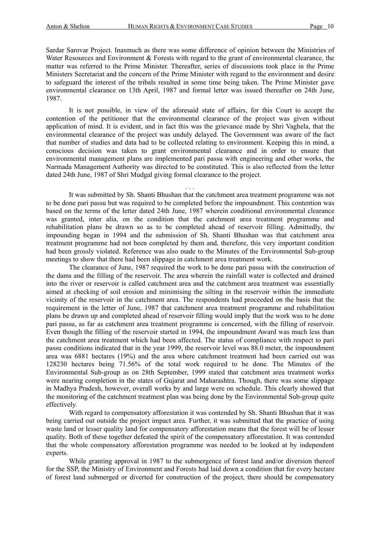Sardar Sarovar Project. Inasmuch as there was some difference of opinion between the Ministries of Water Resources and Environment  $\&$  Forests with regard to the grant of environmental clearance, the matter was referred to the Prime Minister. Thereafter, series of discussions took place in the Prime Ministers Secretariat and the concern of the Prime Minister with regard to the environment and desire to safeguard the interest of the tribals resulted in some time being taken. The Prime Minister gave environmental clearance on 13th April, 1987 and formal letter was issued thereafter on 24th June, 1987.

It is not possible, in view of the aforesaid state of affairs, for this Court to accept the contention of the petitioner that the environmental clearance of the project was given without application of mind. It is evident, and in fact this was the grievance made by Shri Vaghela, that the environmental clearance of the project was unduly delayed. The Government was aware of the fact that number of studies and data had to be collected relating to environment. Keeping this in mind, a conscious decision was taken to grant environmental clearance and in order to ensure that environmental management plans are implemented pari passu with engineering and other works, the Narmada Management Authority was directed to be constituted. This is also reflected from the letter dated 24th June, 1987 of Shri Mudgal giving formal clearance to the project.

It was submitted by Sh. Shanti Bhushan that the catchment area treatment programme was not to be done pari passu but was required to be completed before the impoundment. This contention was based on the terms of the letter dated 24th June, 1987 wherein conditional environmental clearance was granted, inter alia, on the condition that the catchment area treatment programme and rehabilitation plans be drawn so as to be completed ahead of reservoir filling. Admittedly, the impounding began in 1994 and the submission of Sh. Shanti Bhushan was that catchment area treatment programme had not been completed by them and, therefore, this very important condition had been grossly violated. Reference was also made to the Minutes of the Environmental Sub-group meetings to show that there had been slippage in catchment area treatment work.

. . .

The clearance of June, 1987 required the work to be done pari passu with the construction of the dams and the filling of the reservoir. The area wherein the rainfall water is collected and drained into the river or reservoir is called catchment area and the catchment area treatment was essentially aimed at checking of soil erosion and minimising the silting in the reservoir within the immediate vicinity of the reservoir in the catchment area. The respondents had proceeded on the basis that the requirement in the letter of June, 1987 that catchment area treatment programme and rehabilitation plans be drawn up and completed ahead of reservoir filling would imply that the work was to be done pari passu, as far as catchment area treatment programme is concerned, with the filling of reservoir. Even though the filling of the reservoir started in 1994, the impoundment Award was much less than the catchment area treatment which had been affected. The status of compliance with respect to pari passu conditions indicated that in the year 1999, the reservoir level was 88.0 meter, the impoundment area was 6881 hectares (19%) and the area where catchment treatment had been carried out was 128230 hectares being 71.56% of the total work required to be done. The Minutes of the Environmental Sub-group as on 28th September, 1999 stated that catchment area treatment works were nearing completion in the states of Gujarat and Maharashtra. Though, there was some slippage in Madhya Pradesh, however, overall works by and large were on schedule. This clearly showed that the monitoring of the catchment treatment plan was being done by the Environmental Sub-group quite effectively.

With regard to compensatory afforestation it was contended by Sh. Shanti Bhushan that it was being carried out outside the project impact area. Further, it was submitted that the practice of using waste land or lesser quality land for compensatory afforestation means that the forest will be of lesser quality. Both of these together defeated the spirit of the compensatory afforestation. It was contended that the whole compensatory afforestation programme was needed to be looked at by independent experts.

While granting approval in 1987 to the submergence of forest land and/or diversion thereof for the SSP, the Ministry of Environment and Forests had laid down a condition that for every hectare of forest land submerged or diverted for construction of the project, there should be compensatory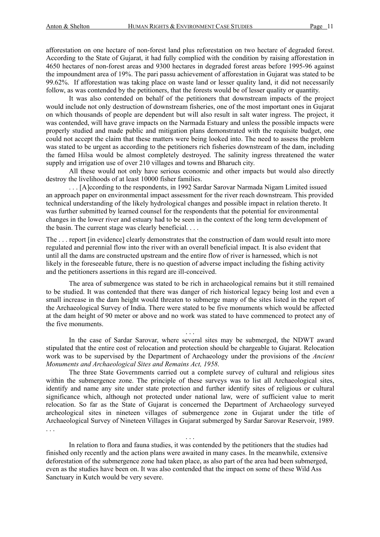afforestation on one hectare of non-forest land plus reforestation on two hectare of degraded forest. According to the State of Gujarat, it had fully complied with the condition by raising afforestation in 4650 hectares of non-forest areas and 9300 hectares in degraded forest areas before 1995-96 against the impoundment area of 19%. The pari passu achievement of afforestation in Gujarat was stated to be 99.62%. If afforestation was taking place on waste land or lesser quality land, it did not necessarily follow, as was contended by the petitioners, that the forests would be of lesser quality or quantity.

It was also contended on behalf of the petitioners that downstream impacts of the project would include not only destruction of downstream fisheries, one of the most important ones in Gujarat on which thousands of people are dependent but will also result in salt water ingress. The project, it was contended, will have grave impacts on the Narmada Estuary and unless the possible impacts were properly studied and made public and mitigation plans demonstrated with the requisite budget, one could not accept the claim that these matters were being looked into. The need to assess the problem was stated to be urgent as according to the petitioners rich fisheries downstream of the dam, including the famed Hilsa would be almost completely destroyed. The salinity ingress threatened the water supply and irrigation use of over 210 villages and towns and Bharuch city.

All these would not only have serious economic and other impacts but would also directly destroy the livelihoods of at least 10000 fisher families.

. . . [A]ccording to the respondents, in 1992 Sardar Sarovar Narmada Nigam Limited issued an approach paper on environmental impact assessment for the river reach downstream. This provided technical understanding of the likely hydrological changes and possible impact in relation thereto. It was further submitted by learned counsel for the respondents that the potential for environmental changes in the lower river and estuary had to be seen in the context of the long term development of the basin. The current stage was clearly beneficial. . . .

The . . . report [in evidence] clearly demonstrates that the construction of dam would result into more regulated and perennial flow into the river with an overall beneficial impact. It is also evident that until all the dams are constructed upstream and the entire flow of river is harnessed, which is not likely in the foreseeable future, there is no question of adverse impact including the fishing activity and the petitioners assertions in this regard are ill-conceived.

The area of submergence was stated to be rich in archaeological remains but it still remained to be studied. It was contended that there was danger of rich historical legacy being lost and even a small increase in the dam height would threaten to submerge many of the sites listed in the report of the Archaeological Survey of India. There were stated to be five monuments which would be affected at the dam height of 90 meter or above and no work was stated to have commenced to protect any of the five monuments.

In the case of Sardar Sarovar, where several sites may be submerged, the NDWT award stipulated that the entire cost of relocation and protection should be chargeable to Gujarat. Relocation work was to be supervised by the Department of Archaeology under the provisions of the *[Ancient](http://www.commonlii.org/in/legis/num_act/amaasara1958472/) [Monuments and Archaeological Sites and Remains Act, 1958](http://www.commonlii.org/in/legis/num_act/amaasara1958472/)*.

. . .

 The three State Governments carried out a complete survey of cultural and religious sites within the submergence zone. The principle of these surveys was to list all Archaeological sites, identify and name any site under state protection and further identify sites of religious or cultural significance which, although not protected under national law, were of sufficient value to merit relocation. So far as the State of Gujarat is concerned the Department of Archaeology surveyed archeological sites in nineteen villages of submergence zone in Gujarat under the title of Archaeological Survey of Nineteen Villages in Gujarat submerged by Sardar Sarovar Reservoir, 1989. . . .

. . .

In relation to flora and fauna studies, it was contended by the petitioners that the studies had finished only recently and the action plans were awaited in many cases. In the meanwhile, extensive deforestation of the submergence zone had taken place, as also part of the area had been submerged, even as the studies have been on. It was also contended that the impact on some of these Wild Ass Sanctuary in Kutch would be very severe.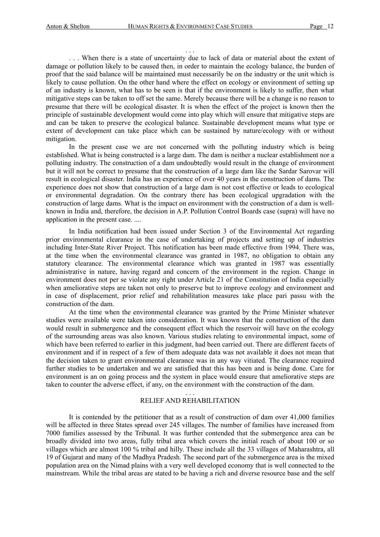. . .

. . . When there is a state of uncertainty due to lack of data or material about the extent of damage or pollution likely to be caused then, in order to maintain the ecology balance, the burden of proof that the said balance will be maintained must necessarily be on the industry or the unit which is likely to cause pollution. On the other hand where the effect on ecology or environment of setting up of an industry is known, what has to be seen is that if the environment is likely to suffer, then what mitigative steps can be taken to off set the same. Merely because there will be a change is no reason to presume that there will be ecological disaster. It is when the effect of the project is known then the principle of sustainable development would come into play which will ensure that mitigative steps are and can be taken to preserve the ecological balance. Sustainable development means what type or extent of development can take place which can be sustained by nature/ecology with or without mitigation.

In the present case we are not concerned with the polluting industry which is being established. What is being constructed is a large dam. The dam is neither a nuclear establishment nor a polluting industry. The construction of a dam undoubtedly would result in the change of environment but it will not be correct to presume that the construction of a large dam like the Sardar Sarovar will result in ecological disaster. India has an experience of over 40 years in the construction of dams. The experience does not show that construction of a large dam is not cost effective or leads to ecological or environmental degradation. On the contrary there has been ecological upgradation with the construction of large dams. What is the impact on environment with the construction of a dam is wellknown in India and, therefore, the decision in A.P. Pollution Control Boards case (supra) will have no application in the present case. ....

In India notification had been issued under Section 3 of the Environmental Act regarding prior environmental clearance in the case of undertaking of projects and setting up of industries including Inter-State River Project. This notification has been made effective from 1994. There was, at the time when the environmental clearance was granted in 1987, no obligation to obtain any statutory clearance. The environmental clearance which was granted in 1987 was essentially administrative in nature, having regard and concern of the environment in the region. Change in environment does not per se violate any right under Article 21 of the Constitution of India especially when ameliorative steps are taken not only to preserve but to improve ecology and environment and in case of displacement, prior relief and rehabilitation measures take place pari passu with the construction of the dam.

 At the time when the environmental clearance was granted by the Prime Minister whatever studies were available were taken into consideration. It was known that the construction of the dam would result in submergence and the consequent effect which the reservoir will have on the ecology of the surrounding areas was also known. Various studies relating to environmental impact, some of which have been referred to earlier in this judgment, had been carried out. There are different facets of environment and if in respect of a few of them adequate data was not available it does not mean that the decision taken to grant environmental clearance was in any way vitiated. The clearance required further studies to be undertaken and we are satisfied that this has been and is being done. Care for environment is an on going process and the system in place would ensure that ameliorative steps are taken to counter the adverse effect, if any, on the environment with the construction of the dam.

#### . . . RELIEF AND REHABILITATION

It is contended by the petitioner that as a result of construction of dam over 41,000 families will be affected in three States spread over 245 villages. The number of families have increased from 7000 families assessed by the Tribunal. It was further contended that the submergence area can be broadly divided into two areas, fully tribal area which covers the initial reach of about 100 or so villages which are almost 100 % tribal and hilly. These include all the 33 villages of Maharashtra, all 19 of Gujarat and many of the Madhya Pradesh. The second part of the submergence area is the mixed population area on the Nimad plains with a very well developed economy that is well connected to the mainstream. While the tribal areas are stated to be having a rich and diverse resource base and the self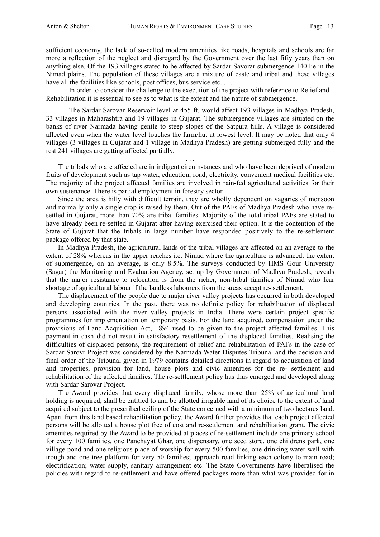sufficient economy, the lack of so-called modern amenities like roads, hospitals and schools are far more a reflection of the neglect and disregard by the Government over the last fifty years than on anything else. Of the 193 villages stated to be affected by Sardar Savorar submergence 140 lie in the Nimad plains. The population of these villages are a mixture of caste and tribal and these villages have all the facilities like schools, post offices, bus service etc....

In order to consider the challenge to the execution of the project with reference to Relief and Rehabilitation it is essential to see as to what is the extent and the nature of submergence.

The Sardar Sarovar Reservoir level at 455 ft. would affect 193 villages in Madhya Pradesh, 33 villages in Maharashtra and 19 villages in Gujarat. The submergence villages are situated on the banks of river Narmada having gentle to steep slopes of the Satpura hills. A village is considered affected even when the water level touches the farm/hut at lowest level. It may be noted that only 4 villages (3 villages in Gujarat and 1 village in Madhya Pradesh) are getting submerged fully and the rest 241 villages are getting affected partially.

The tribals who are affected are in indigent circumstances and who have been deprived of modern fruits of development such as tap water, education, road, electricity, convenient medical facilities etc. The majority of the project affected families are involved in rain-fed agricultural activities for their own sustenance. There is partial employment in forestry sector.

. . .

Since the area is hilly with difficult terrain, they are wholly dependent on vagaries of monsoon and normally only a single crop is raised by them. Out of the PAFs of Madhya Pradesh who have resettled in Gujarat, more than 70% are tribal families. Majority of the total tribal PAFs are stated to have already been re-settled in Gujarat after having exercised their option. It is the contention of the State of Gujarat that the tribals in large number have responded positively to the re-settlement package offered by that state.

In Madhya Pradesh, the agricultural lands of the tribal villages are affected on an average to the extent of 28% whereas in the upper reaches i.e. Nimad where the agriculture is advanced, the extent of submergence, on an average, is only 8.5%. The surveys conducted by HMS Gour University (Sagar) the Monitoring and Evaluation Agency, set up by Government of Madhya Pradesh, reveals that the major resistance to relocation is from the richer, non-tribal families of Nimad who fear shortage of agricultural labour if the landless labourers from the areas accept re- settlement.

The displacement of the people due to major river valley projects has occurred in both developed and developing countries. In the past, there was no definite policy for rehabilitation of displaced persons associated with the river valley projects in India. There were certain project specific programmes for implementation on temporary basis. For the land acquired, compensation under the provisions of Land Acquisition Act, 1894 used to be given to the project affected families. This payment in cash did not result in satisfactory resettlement of the displaced families. Realising the difficulties of displaced persons, the requirement of relief and rehabilitation of PAFs in the case of Sardar Sarovr Project was considered by the Narmada Water Disputes Tribunal and the decision and final order of the Tribunal given in 1979 contains detailed directions in regard to acquisition of land and properties, provision for land, house plots and civic amenities for the re- settlement and rehabilitation of the affected families. The re-settlement policy has thus emerged and developed along with Sardar Sarovar Project.

The Award provides that every displaced family, whose more than 25% of agricultural land holding is acquired, shall be entitled to and be allotted irrigable land of its choice to the extent of land acquired subject to the prescribed ceiling of the State concerned with a minimum of two hectares land. Apart from this land based rehabilitation policy, the Award further provides that each project affected persons will be allotted a house plot free of cost and re-settlement and rehabilitation grant. The civic amenities required by the Award to be provided at places of re-settlement include one primary school for every 100 families, one Panchayat Ghar, one dispensary, one seed store, one childrens park, one village pond and one religious place of worship for every 500 families, one drinking water well with trough and one tree platform for very 50 families; approach road linking each colony to main road; electrification; water supply, sanitary arrangement etc. The State Governments have liberalised the policies with regard to re-settlement and have offered packages more than what was provided for in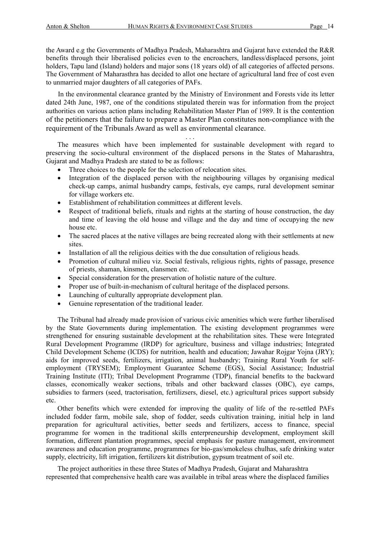the Award e.g the Governments of Madhya Pradesh, Maharashtra and Gujarat have extended the R&R benefits through their liberalised policies even to the encroachers, landless/displaced persons, joint holders, Tapu land (Island) holders and major sons (18 years old) of all categories of affected persons. The Government of Maharasthra has decided to allot one hectare of agricultural land free of cost even to unmarried major daughters of all categories of PAFs.

In the environmental clearance granted by the Ministry of Environment and Forests vide its letter dated 24th June, 1987, one of the conditions stipulated therein was for information from the project authorities on various action plans including Rehabilitation Master Plan of 1989. It is the contention of the petitioners that the failure to prepare a Master Plan constitutes non-compliance with the requirement of the Tribunals Award as well as environmental clearance.

. . . The measures which have been implemented for sustainable development with regard to preserving the socio-cultural environment of the displaced persons in the States of Maharashtra, Gujarat and Madhya Pradesh are stated to be as follows:

- Three choices to the people for the selection of relocation sites.
- Integration of the displaced person with the neighbouring villages by organising medical check-up camps, animal husbandry camps, festivals, eye camps, rural development seminar for village workers etc.
- Establishment of rehabilitation committees at different levels.
- Respect of traditional beliefs, rituals and rights at the starting of house construction, the day and time of leaving the old house and village and the day and time of occupying the new house etc.
- The sacred places at the native villages are being recreated along with their settlements at new sites.
- Installation of all the religious deities with the due consultation of religious heads.
- x Promotion of cultural milieu viz. Social festivals, religious rights, rights of passage, presence of priests, shaman, kinsmen, clansmen etc.
- Special consideration for the preservation of holistic nature of the culture.
- Proper use of built-in-mechanism of cultural heritage of the displaced persons.
- Launching of culturally appropriate development plan.
- Genuine representation of the traditional leader.

The Tribunal had already made provision of various civic amenities which were further liberalised by the State Governments during implementation. The existing development programmes were strengthened for ensuring sustainable development at the rehabilitation sites. These were Integrated Rural Development Programme (IRDP) for agriculture, business and village industries; Integrated Child Development Scheme (ICDS) for nutrition, health and education; Jawahar Rojgar Yojna (JRY); aids for improved seeds, fertilizers, irrigation, animal husbandry; Training Rural Youth for selfemployment (TRYSEM); Employment Guarantee Scheme (EGS), Social Assistance; Industrial Training Institute (ITI); Tribal Development Programme (TDP), financial benefits to the backward classes, economically weaker sections, tribals and other backward classes (OBC), eye camps, subsidies to farmers (seed, tractorisation, fertilizsers, diesel, etc.) agricultural prices support subsidy etc.

Other benefits which were extended for improving the quality of life of the re-settled PAFs included fodder farm, mobile sale, shop of fodder, seeds cultivation training, initial help in land preparation for agricultural activities, better seeds and fertilizers, access to finance, special programme for women in the traditional skills enterpreneurship development, employment skill formation, different plantation programmes, special emphasis for pasture management, environment awareness and education programme, programmes for bio-gas/smokeless chulhas, safe drinking water supply, electricity, lift irrigation, fertilizers kit distribution, gypsum treatment of soil etc.

The project authorities in these three States of Madhya Pradesh, Gujarat and Maharashtra represented that comprehensive health care was available in tribal areas where the displaced families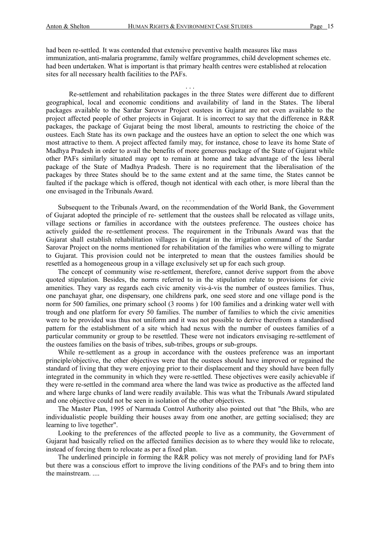had been re-settled. It was contended that extensive preventive health measures like mass immunization, anti-malaria programme, family welfare programmes, child development schemes etc. had been undertaken. What is important is that primary health centres were established at relocation sites for all necessary health facilities to the PAFs.

. . .

Re-settlement and rehabilitation packages in the three States were different due to different geographical, local and economic conditions and availability of land in the States. The liberal packages available to the Sardar Sarovar Project oustees in Gujarat are not even available to the project affected people of other projects in Gujarat. It is incorrect to say that the difference in R&R packages, the package of Gujarat being the most liberal, amounts to restricting the choice of the oustees. Each State has its own package and the oustees have an option to select the one which was most attractive to them. A project affected family may, for instance, chose to leave its home State of Madhya Pradesh in order to avail the benefits of more generous package of the State of Gujarat while other PAFs similarly situated may opt to remain at home and take advantage of the less liberal package of the State of Madhya Pradesh. There is no requirement that the liberalisation of the packages by three States should be to the same extent and at the same time, the States cannot be faulted if the package which is offered, though not identical with each other, is more liberal than the one envisaged in the Tribunals Award.

Subsequent to the Tribunals Award, on the recommendation of the World Bank, the Government of Gujarat adopted the principle of re- settlement that the oustees shall be relocated as village units, village sections or families in accordance with the outstees preference. The oustees choice has actively guided the re-settlement process. The requirement in the Tribunals Award was that the Gujarat shall establish rehabilitation villages in Gujarat in the irrigation command of the Sardar Sarovar Project on the norms mentioned for rehabilitation of the families who were willing to migrate to Gujarat. This provision could not be interpreted to mean that the oustees families should be resettled as a homogeneous group in a village exclusively set up for each such group.

. . .

The concept of community wise re-settlement, therefore, cannot derive support from the above quoted stipulation. Besides, the norms referred to in the stipulation relate to provisions for civic amenities. They vary as regards each civic amenity vis-à-vis the number of oustees families. Thus, one panchayat ghar, one dispensary, one childrens park, one seed store and one village pond is the norm for 500 families, one primary school (3 rooms ) for 100 families and a drinking water well with trough and one platform for every 50 families. The number of families to which the civic amenities were to be provided was thus not uniform and it was not possible to derive therefrom a standardised pattern for the establishment of a site which had nexus with the number of oustees families of a particular community or group to be resettled. These were not indicators envisaging re-settlement of the oustees families on the basis of tribes, sub-tribes, groups or sub-groups.

While re-settlement as a group in accordance with the oustees preference was an important principle/objective, the other objectives were that the oustees should have improved or regained the standard of living that they were enjoying prior to their displacement and they should have been fully integrated in the community in which they were re-settled. These objectives were easily achievable if they were re-settled in the command area where the land was twice as productive as the affected land and where large chunks of land were readily available. This was what the Tribunals Award stipulated and one objective could not be seen in isolation of the other objectives.

The Master Plan, 1995 of Narmada Control Authority also pointed out that "the Bhils, who are individualistic people building their houses away from one another, are getting socialised; they are learning to live together".

Looking to the preferences of the affected people to live as a community, the Government of Gujarat had basically relied on the affected families decision as to where they would like to relocate, instead of forcing them to relocate as per a fixed plan.

The underlined principle in forming the R&R policy was not merely of providing land for PAFs but there was a conscious effort to improve the living conditions of the PAFs and to bring them into the mainstream. ....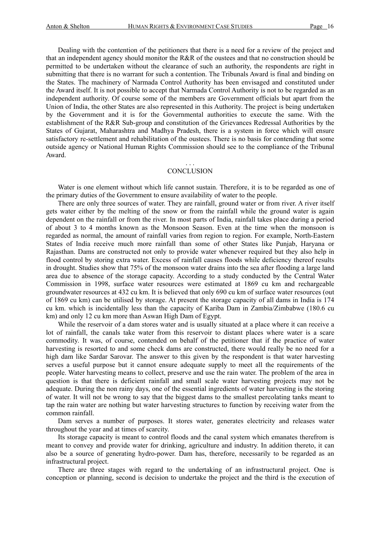Dealing with the contention of the petitioners that there is a need for a review of the project and that an independent agency should monitor the R&R of the oustees and that no construction should be permitted to be undertaken without the clearance of such an authority, the respondents are right in submitting that there is no warrant for such a contention. The Tribunals Award is final and binding on the States. The machinery of Narmada Control Authority has been envisaged and constituted under the Award itself. It is not possible to accept that Narmada Control Authority is not to be regarded as an independent authority. Of course some of the members are Government officials but apart from the Union of India, the other States are also represented in this Authority. The project is being undertaken by the Government and it is for the Governmental authorities to execute the same. With the establishment of the R&R Sub-group and constitution of the Grievances Redressal Authorities by the States of Gujarat, Maharashtra and Madhya Pradesh, there is a system in force which will ensure satisfactory re-settlement and rehabilitation of the oustees. There is no basis for contending that some outside agency or National Human Rights Commission should see to the compliance of the Tribunal Award.

#### . . . **CONCLUSION**

Water is one element without which life cannot sustain. Therefore, it is to be regarded as one of the primary duties of the Government to ensure availability of water to the people.

There are only three sources of water. They are rainfall, ground water or from river. A river itself gets water either by the melting of the snow or from the rainfall while the ground water is again dependent on the rainfall or from the river. In most parts of India, rainfall takes place during a period of about 3 to 4 months known as the Monsoon Season. Even at the time when the monsoon is regarded as normal, the amount of rainfall varies from region to region. For example, North-Eastern States of India receive much more rainfall than some of other States like Punjab, Haryana or Rajasthan. Dams are constructed not only to provide water whenever required but they also help in flood control by storing extra water. Excess of rainfall causes floods while deficiency thereof results in drought. Studies show that 75% of the monsoon water drains into the sea after flooding a large land area due to absence of the storage capacity. According to a study conducted by the Central Water Commission in 1998, surface water resources were estimated at 1869 cu km and rechargeable groundwater resources at 432 cu km. It is believed that only 690 cu km of surface water resources (out of 1869 cu km) can be utilised by storage. At present the storage capacity of all dams in India is 174 cu km. which is incidentally less than the capacity of Kariba Dam in Zambia/Zimbabwe (180.6 cu km) and only 12 cu km more than Aswan High Dam of Egypt.

While the reservoir of a dam stores water and is usually situated at a place where it can receive a lot of rainfall, the canals take water from this reservoir to distant places where water is a scare commodity. It was, of course, contended on behalf of the petitioner that if the practice of water harvesting is resorted to and some check dams are constructed, there would really be no need for a high dam like Sardar Sarovar. The answer to this given by the respondent is that water harvesting serves a useful purpose but it cannot ensure adequate supply to meet all the requirements of the people. Water harvesting means to collect, preserve and use the rain water. The problem of the area in question is that there is deficient rainfall and small scale water harvesting projects may not be adequate. During the non rainy days, one of the essential ingredients of water harvesting is the storing of water. It will not be wrong to say that the biggest dams to the smallest percolating tanks meant to tap the rain water are nothing but water harvesting structures to function by receiving water from the common rainfall.

Dam serves a number of purposes. It stores water, generates electricity and releases water throughout the year and at times of scarcity.

Its storage capacity is meant to control floods and the canal system which emanates therefrom is meant to convey and provide water for drinking, agriculture and industry. In addition thereto, it can also be a source of generating hydro-power. Dam has, therefore, necessarily to be regarded as an infrastructural project.

There are three stages with regard to the undertaking of an infrastructural project. One is conception or planning, second is decision to undertake the project and the third is the execution of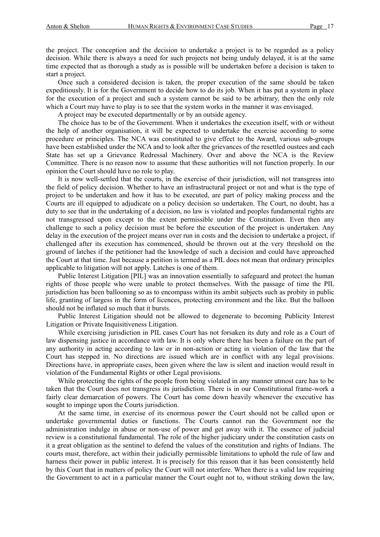the project. The conception and the decision to undertake a project is to be regarded as a policy decision. While there is always a need for such projects not being unduly delayed, it is at the same time expected that as thorough a study as is possible will be undertaken before a decision is taken to start a project.

Once such a considered decision is taken, the proper execution of the same should be taken expeditiously. It is for the Government to decide how to do its job. When it has put a system in place for the execution of a project and such a system cannot be said to be arbitrary, then the only role which a Court may have to play is to see that the system works in the manner it was envisaged.

A project may be executed departmentally or by an outside agency.

The choice has to be of the Government. When it undertakes the execution itself, with or without the help of another organisation, it will be expected to undertake the exercise according to some procedure or principles. The NCA was constituted to give effect to the Award, various sub-groups have been established under the NCA and to look after the grievances of the resettled oustees and each State has set up a Grievance Redressal Machinery. Over and above the NCA is the Review Committee. There is no reason now to assume that these authorities will not function properly. In our opinion the Court should have no role to play.

It is now well-settled that the courts, in the exercise of their jurisdiction, will not transgress into the field of policy decision. Whether to have an infrastructural project or not and what is the type of project to be undertaken and how it has to be executed, are part of policy making process and the Courts are ill equipped to adjudicate on a policy decision so undertaken. The Court, no doubt, has a duty to see that in the undertaking of a decision, no law is violated and peoples fundamental rights are not transgressed upon except to the extent permissible under the Constitution. Even then any challenge to such a policy decision must be before the execution of the project is undertaken. Any delay in the execution of the project means over run in costs and the decision to undertake a project, if challenged after its execution has commenced, should be thrown out at the very threshold on the ground of latches if the petitioner had the knowledge of such a decision and could have approached the Court at that time. Just because a petition is termed as a PIL does not mean that ordinary principles applicable to litigation will not apply. Latches is one of them.

Public Interest Litigation [PIL] was an innovation essentially to safeguard and protect the human rights of those people who were unable to protect themselves. With the passage of time the PIL jurisdiction has been ballooning so as to encompass within its ambit subjects such as probity in public life, granting of largess in the form of licences, protecting environment and the like. But the balloon should not be inflated so much that it bursts.

Public Interest Litigation should not be allowed to degenerate to becoming Publicity Interest Litigation or Private Inquisitiveness Litigation.

While exercising jurisdiction in PIL cases Court has not forsaken its duty and role as a Court of law dispensing justice in accordance with law. It is only where there has been a failure on the part of any authority in acting according to law or in non-action or acting in violation of the law that the Court has stepped in. No directions are issued which are in conflict with any legal provisions. Directions have, in appropriate cases, been given where the law is silent and inaction would result in violation of the Fundamental Rights or other Legal provisions.

While protecting the rights of the people from being violated in any manner utmost care has to be taken that the Court does not transgress its jurisdiction. There is in our Constitutional frame-work a fairly clear demarcation of powers. The Court has come down heavily whenever the executive has sought to impinge upon the Courts jurisdiction.

At the same time, in exercise of its enormous power the Court should not be called upon or undertake governmental duties or functions. The Courts cannot run the Government nor the administration indulge in abuse or non-use of power and get away with it. The essence of judicial review is a constitutional fundamental. The role of the higher judiciary under the constitution casts on it a great obligation as the sentinel to defend the values of the constitution and rights of Indians. The courts must, therefore, act within their judicially permissible limitations to uphold the rule of law and harness their power in public interest. It is precisely for this reason that it has been consistently held by this Court that in matters of policy the Court will not interfere. When there is a valid law requiring the Government to act in a particular manner the Court ought not to, without striking down the law,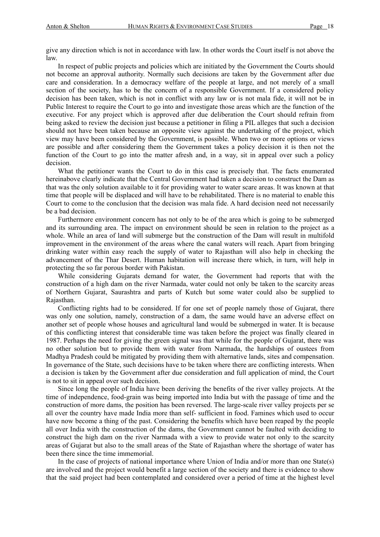give any direction which is not in accordance with law. In other words the Court itself is not above the law.

In respect of public projects and policies which are initiated by the Government the Courts should not become an approval authority. Normally such decisions are taken by the Government after due care and consideration. In a democracy welfare of the people at large, and not merely of a small section of the society, has to be the concern of a responsible Government. If a considered policy decision has been taken, which is not in conflict with any law or is not mala fide, it will not be in Public Interest to require the Court to go into and investigate those areas which are the function of the executive. For any project which is approved after due deliberation the Court should refrain from being asked to review the decision just because a petitioner in filing a PIL alleges that such a decision should not have been taken because an opposite view against the undertaking of the project, which view may have been considered by the Government, is possible. When two or more options or views are possible and after considering them the Government takes a policy decision it is then not the function of the Court to go into the matter afresh and, in a way, sit in appeal over such a policy decision.

What the petitioner wants the Court to do in this case is precisely that. The facts enumerated hereinabove clearly indicate that the Central Government had taken a decision to construct the Dam as that was the only solution available to it for providing water to water scare areas. It was known at that time that people will be displaced and will have to be rehabilitated. There is no material to enable this Court to come to the conclusion that the decision was mala fide. A hard decision need not necessarily be a bad decision.

Furthermore environment concern has not only to be of the area which is going to be submerged and its surrounding area. The impact on environment should be seen in relation to the project as a whole. While an area of land will submerge but the construction of the Dam will result in multifold improvement in the environment of the areas where the canal waters will reach. Apart from bringing drinking water within easy reach the supply of water to Rajasthan will also help in checking the advancement of the Thar Desert. Human habitation will increase there which, in turn, will help in protecting the so far porous border with Pakistan.

While considering Gujarats demand for water, the Government had reports that with the construction of a high dam on the river Narmada, water could not only be taken to the scarcity areas of Northern Gujarat, Saurashtra and parts of Kutch but some water could also be supplied to Rajasthan.

Conflicting rights had to be considered. If for one set of people namely those of Gujarat, there was only one solution, namely, construction of a dam, the same would have an adverse effect on another set of people whose houses and agricultural land would be submerged in water. It is because of this conflicting interest that considerable time was taken before the project was finally cleared in 1987. Perhaps the need for giving the green signal was that while for the people of Gujarat, there was no other solution but to provide them with water from Narmada, the hardships of oustees from Madhya Pradesh could be mitigated by providing them with alternative lands, sites and compensation. In governance of the State, such decisions have to be taken where there are conflicting interests. When a decision is taken by the Government after due consideration and full application of mind, the Court is not to sit in appeal over such decision.

Since long the people of India have been deriving the benefits of the river valley projects. At the time of independence, food-grain was being imported into India but with the passage of time and the construction of more dams, the position has been reversed. The large-scale river valley projects per se all over the country have made India more than self- sufficient in food. Famines which used to occur have now become a thing of the past. Considering the benefits which have been reaped by the people all over India with the construction of the dams, the Government cannot be faulted with deciding to construct the high dam on the river Narmada with a view to provide water not only to the scarcity areas of Gujarat but also to the small areas of the State of Rajasthan where the shortage of water has been there since the time immemorial.

In the case of projects of national importance where Union of India and/or more than one State(s) are involved and the project would benefit a large section of the society and there is evidence to show that the said project had been contemplated and considered over a period of time at the highest level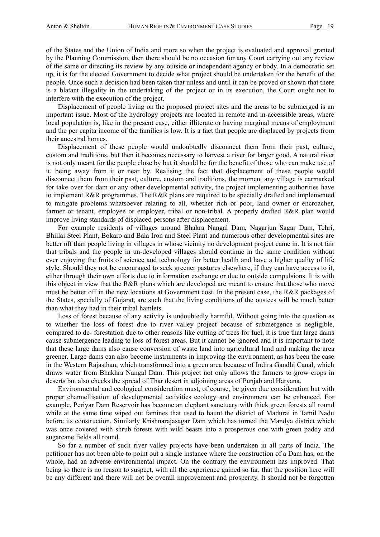of the States and the Union of India and more so when the project is evaluated and approval granted by the Planning Commission, then there should be no occasion for any Court carrying out any review of the same or directing its review by any outside or independent agency or body. In a democratic set up, it is for the elected Government to decide what project should be undertaken for the benefit of the people. Once such a decision had been taken that unless and until it can be proved or shown that there is a blatant illegality in the undertaking of the project or in its execution, the Court ought not to interfere with the execution of the project.

Displacement of people living on the proposed project sites and the areas to be submerged is an important issue. Most of the hydrology projects are located in remote and in-accessible areas, where local population is, like in the present case, either illiterate or having marginal means of employment and the per capita income of the families is low. It is a fact that people are displaced by projects from their ancestral homes.

Displacement of these people would undoubtedly disconnect them from their past, culture, custom and traditions, but then it becomes necessary to harvest a river for larger good. A natural river is not only meant for the people close by but it should be for the benefit of those who can make use of it, being away from it or near by. Realising the fact that displacement of these people would disconnect them from their past, culture, custom and traditions, the moment any village is earmarked for take over for dam or any other developmental activity, the project implementing authorities have to implement R&R programmes. The R&R plans are required to be specially drafted and implemented to mitigate problems whatsoever relating to all, whether rich or poor, land owner or encroacher, farmer or tenant, employee or employer, tribal or non-tribal. A properly drafted R&R plan would improve living standards of displaced persons after displacement.

For example residents of villages around Bhakra Nangal Dam, Nagarjun Sagar Dam, Tehri, Bhillai Steel Plant, Bokaro and Bala Iron and Steel Plant and numerous other developmental sites are better off than people living in villages in whose vicinity no development project came in. It is not fair that tribals and the people in un-developed villages should continue in the same condition without ever enjoying the fruits of science and technology for better health and have a higher quality of life style. Should they not be encouraged to seek greener pastures elsewhere, if they can have access to it, either through their own efforts due to information exchange or due to outside compulsions. It is with this object in view that the R&R plans which are developed are meant to ensure that those who move must be better off in the new locations at Government cost. In the present case, the R&R packages of the States, specially of Gujarat, are such that the living conditions of the oustees will be much better than what they had in their tribal hamlets.

Loss of forest because of any activity is undoubtedly harmful. Without going into the question as to whether the loss of forest due to river valley project because of submergence is negligible, compared to de- forestation due to other reasons like cutting of trees for fuel, it is true that large dams cause submergence leading to loss of forest areas. But it cannot be ignored and it is important to note that these large dams also cause conversion of waste land into agricultural land and making the area greener. Large dams can also become instruments in improving the environment, as has been the case in the Western Rajasthan, which transformed into a green area because of Indira Gandhi Canal, which draws water from Bhakhra Nangal Dam. This project not only allows the farmers to grow crops in deserts but also checks the spread of Thar desert in adjoining areas of Punjab and Haryana.

Environmental and ecological consideration must, of course, be given due consideration but with proper channellisation of developmental activities ecology and environment can be enhanced. For example, Periyar Dam Reservoir has become an elephant sanctuary with thick green forests all round while at the same time wiped out famines that used to haunt the district of Madurai in Tamil Nadu before its construction. Similarly Krishnarajasagar Dam which has turned the Mandya district which was once covered with shrub forests with wild beasts into a prosperous one with green paddy and sugarcane fields all round.

So far a number of such river valley projects have been undertaken in all parts of India. The petitioner has not been able to point out a single instance where the construction of a Dam has, on the whole, had an adverse environmental impact. On the contrary the environment has improved. That being so there is no reason to suspect, with all the experience gained so far, that the position here will be any different and there will not be overall improvement and prosperity. It should not be forgotten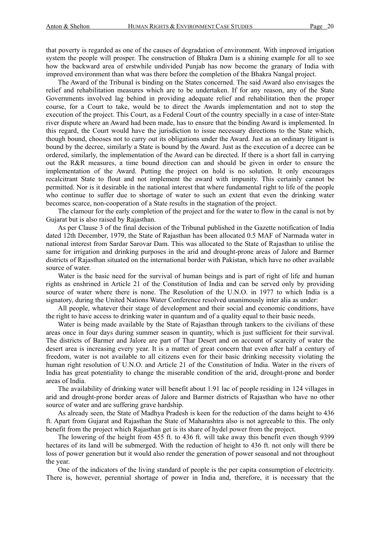that poverty is regarded as one of the causes of degradation of environment. With improved irrigation system the people will prosper. The construction of Bhakra Dam is a shining example for all to see how the backward area of erstwhile undivided Punjab has now become the granary of India with improved environment than what was there before the completion of the Bhakra Nangal project.

The Award of the Tribunal is binding on the States concerned. The said Award also envisages the relief and rehabilitation measures which are to be undertaken. If for any reason, any of the State Governments involved lag behind in providing adequate relief and rehabilitation then the proper course, for a Court to take, would be to direct the Awards implementation and not to stop the execution of the project. This Court, as a Federal Court of the country specially in a case of inter-State river dispute where an Award had been made, has to ensure that the binding Award is implemented. In this regard, the Court would have the jurisdiction to issue necessary directions to the State which, though bound, chooses not to carry out its obligations under the Award. Just as an ordinary litigant is bound by the decree, similarly a State is bound by the Award. Just as the execution of a decree can be ordered, similarly, the implementation of the Award can be directed. If there is a short fall in carrying out the R&R measures, a time bound direction can and should be given in order to ensure the implementation of the Award. Putting the project on hold is no solution. It only encourages recalcitrant State to flout and not implement the award with impunity. This certainly cannot be permitted. Nor is it desirable in the national interest that where fundamental right to life of the people who continue to suffer due to shortage of water to such an extent that even the drinking water becomes scarce, non-cooperation of a State results in the stagnation of the project.

The clamour for the early completion of the project and for the water to flow in the canal is not by Gujarat but is also raised by Rajasthan.

As per Clause 3 of the final decision of the Tribunal published in the Gazette notification of India dated 12th December, 1979, the State of Rajasthan has been allocated 0.5 MAF of Narmada water in national interest from Sardar Sarovar Dam. This was allocated to the State of Rajasthan to utilise the same for irrigation and drinking purposes in the arid and drought-prone areas of Jalore and Barmer districts of Rajasthan situated on the international border with Pakistan, which have no other available source of water.

Water is the basic need for the survival of human beings and is part of right of life and human rights as enshrined in Article 21 of the Constitution of India and can be served only by providing source of water where there is none. The Resolution of the U.N.O. in 1977 to which India is a signatory, during the United Nations Water Conference resolved unanimously inter alia as under:

All people, whatever their stage of development and their social and economic conditions, have the right to have access to drinking water in quantum and of a quality equal to their basic needs.

Water is being made available by the State of Rajasthan through tankers to the civilians of these areas once in four days during summer season in quantity, which is just sufficient for their survival. The districts of Barmer and Jalore are part of Thar Desert and on account of scarcity of water the desert area is increasing every year. It is a matter of great concern that even after half a century of freedom, water is not available to all citizens even for their basic drinking necessity violating the human right resolution of U.N.O. and Article 21 of the Constitution of India. Water in the rivers of India has great potentiality to change the miserable condition of the arid, drought-prone and border areas of India.

The availability of drinking water will benefit about 1.91 lac of people residing in 124 villages in arid and drought-prone border areas of Jalore and Barmer districts of Rajasthan who have no other source of water and are suffering grave hardship.

As already seen, the State of Madhya Pradesh is keen for the reduction of the dams height to 436 ft. Apart from Gujarat and Rajasthan the State of Maharashtra also is not agreeable to this. The only benefit from the project which Rajasthan get is its share of hydel power from the project.

The lowering of the height from 455 ft. to 436 ft. will take away this benefit even though 9399 hectares of its land will be submerged. With the reduction of height to 436 ft. not only will there be loss of power generation but it would also render the generation of power seasonal and not throughout the year.

One of the indicators of the living standard of people is the per capita consumption of electricity. There is, however, perennial shortage of power in India and, therefore, it is necessary that the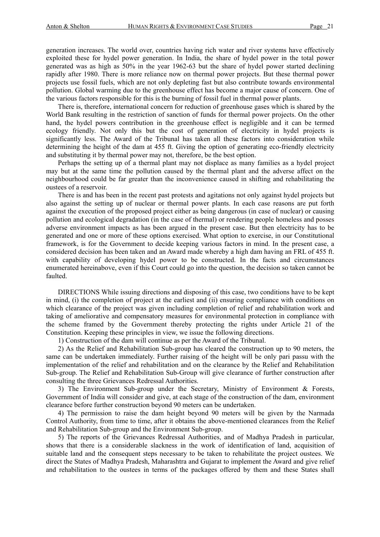generation increases. The world over, countries having rich water and river systems have effectively exploited these for hydel power generation. In India, the share of hydel power in the total power generated was as high as 50% in the year 1962-63 but the share of hydel power started declining rapidly after 1980. There is more reliance now on thermal power projects. But these thermal power projects use fossil fuels, which are not only depleting fast but also contribute towards environmental pollution. Global warming due to the greenhouse effect has become a major cause of concern. One of the various factors responsible for this is the burning of fossil fuel in thermal power plants.

There is, therefore, international concern for reduction of greenhouse gases which is shared by the World Bank resulting in the restriction of sanction of funds for thermal power projects. On the other hand, the hydel powers contribution in the greenhouse effect is negligible and it can be termed ecology friendly. Not only this but the cost of generation of electricity in hydel projects is significantly less. The Award of the Tribunal has taken all these factors into consideration while determining the height of the dam at 455 ft. Giving the option of generating eco-friendly electricity and substituting it by thermal power may not, therefore, be the best option.

Perhaps the setting up of a thermal plant may not displace as many families as a hydel project may but at the same time the pollution caused by the thermal plant and the adverse affect on the neighbourhood could be far greater than the inconvenience caused in shifting and rehabilitating the oustees of a reservoir.

There is and has been in the recent past protests and agitations not only against hydel projects but also against the setting up of nuclear or thermal power plants. In each case reasons are put forth against the execution of the proposed project either as being dangerous (in case of nuclear) or causing pollution and ecological degradation (in the case of thermal) or rendering people homeless and posses adverse environment impacts as has been argued in the present case. But then electricity has to be generated and one or more of these options exercised. What option to exercise, in our Constitutional framework, is for the Government to decide keeping various factors in mind. In the present case, a considered decision has been taken and an Award made whereby a high dam having an FRL of 455 ft. with capability of developing hydel power to be constructed. In the facts and circumstances enumerated hereinabove, even if this Court could go into the question, the decision so taken cannot be faulted.

DIRECTIONS While issuing directions and disposing of this case, two conditions have to be kept in mind, (i) the completion of project at the earliest and (ii) ensuring compliance with conditions on which clearance of the project was given including completion of relief and rehabilitation work and taking of ameliorative and compensatory measures for environmental protection in compliance with the scheme framed by the Government thereby protecting the rights under Article 21 of the Constitution. Keeping these principles in view, we issue the following directions.

1) Construction of the dam will continue as per the Award of the Tribunal.

2) As the Relief and Rehabilitation Sub-group has cleared the construction up to 90 meters, the same can be undertaken immediately. Further raising of the height will be only pari passu with the implementation of the relief and rehabilitation and on the clearance by the Relief and Rehabilitation Sub-group. The Relief and Rehabilitation Sub-Group will give clearance of further construction after consulting the three Grievances Redressal Authorities.

3) The Environment Sub-group under the Secretary, Ministry of Environment & Forests, Government of India will consider and give, at each stage of the construction of the dam, environment clearance before further construction beyond 90 meters can be undertaken.

4) The permission to raise the dam height beyond 90 meters will be given by the Narmada Control Authority, from time to time, after it obtains the above-mentioned clearances from the Relief and Rehabilitation Sub-group and the Environment Sub-group.

5) The reports of the Grievances Redressal Authorities, and of Madhya Pradesh in particular, shows that there is a considerable slackness in the work of identification of land, acquisition of suitable land and the consequent steps necessary to be taken to rehabilitate the project oustees. We direct the States of Madhya Pradesh, Maharashtra and Gujarat to implement the Award and give relief and rehabilitation to the oustees in terms of the packages offered by them and these States shall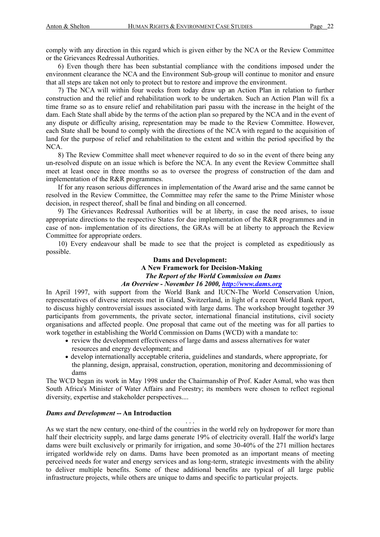comply with any direction in this regard which is given either by the NCA or the Review Committee or the Grievances Redressal Authorities.

6) Even though there has been substantial compliance with the conditions imposed under the environment clearance the NCA and the Environment Sub-group will continue to monitor and ensure that all steps are taken not only to protect but to restore and improve the environment.

7) The NCA will within four weeks from today draw up an Action Plan in relation to further construction and the relief and rehabilitation work to be undertaken. Such an Action Plan will fix a time frame so as to ensure relief and rehabilitation pari passu with the increase in the height of the dam. Each State shall abide by the terms of the action plan so prepared by the NCA and in the event of any dispute or difficulty arising, representation may be made to the Review Committee. However, each State shall be bound to comply with the directions of the NCA with regard to the acquisition of land for the purpose of relief and rehabilitation to the extent and within the period specified by the NCA.

8) The Review Committee shall meet whenever required to do so in the event of there being any un-resolved dispute on an issue which is before the NCA. In any event the Review Committee shall meet at least once in three months so as to oversee the progress of construction of the dam and implementation of the R&R programmes.

If for any reason serious differences in implementation of the Award arise and the same cannot be resolved in the Review Committee, the Committee may refer the same to the Prime Minister whose decision, in respect thereof, shall be final and binding on all concerned.

9) The Grievances Redressal Authorities will be at liberty, in case the need arises, to issue appropriate directions to the respective States for due implementation of the R&R programmes and in case of non- implementation of its directions, the GRAs will be at liberty to approach the Review Committee for appropriate orders.

10) Every endeavour shall be made to see that the project is completed as expeditiously as possible.

#### **Dams and Development: A New Framework for Decision-Making**  *The Report of the World Commission on Dams An Overview - November 16 2000, [http://www.dams.org](http://www.dams.org/)*

In April 1997, with support from the World Bank and IUCN-The World Conservation Union, representatives of diverse interests met in Gland, Switzerland, in light of a recent World Bank report, to discuss highly controversial issues associated with large dams. The workshop brought together 39 participants from governments, the private sector, international financial institutions, civil society organisations and affected people. One proposal that came out of the meeting was for all parties to work together in establishing the World Commission on Dams (WCD) with a mandate to:

- review the development effectiveness of large dams and assess alternatives for water resources and energy development; and
- x develop internationally acceptable criteria, guidelines and standards, where appropriate, for the planning, design, appraisal, construction, operation, monitoring and decommissioning of dams

The WCD began its work in May 1998 under the Chairmanship of Prof. Kader Asmal, who was then South Africa's Minister of Water Affairs and Forestry; its members were chosen to reflect regional diversity, expertise and stakeholder perspectives....

#### *Dams and Development* **-- An Introduction**

. . . As we start the new century, one-third of the countries in the world rely on hydropower for more than half their electricity supply, and large dams generate 19% of electricity overall. Half the world's large dams were built exclusively or primarily for irrigation, and some 30-40% of the 271 million hectares irrigated worldwide rely on dams. Dams have been promoted as an important means of meeting perceived needs for water and energy services and as long-term, strategic investments with the ability to deliver multiple benefits. Some of these additional benefits are typical of all large public infrastructure projects, while others are unique to dams and specific to particular projects.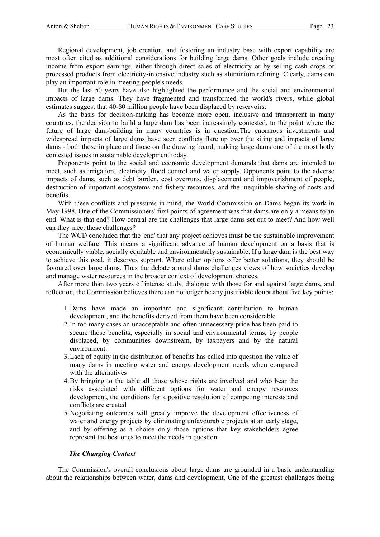Regional development, job creation, and fostering an industry base with export capability are most often cited as additional considerations for building large dams. Other goals include creating income from export earnings, either through direct sales of electricity or by selling cash crops or processed products from electricity-intensive industry such as aluminium refining. Clearly, dams can play an important role in meeting people's needs.

But the last 50 years have also highlighted the performance and the social and environmental impacts of large dams. They have fragmented and transformed the world's rivers, while global estimates suggest that 40-80 million people have been displaced by reservoirs.

As the basis for decision-making has become more open, inclusive and transparent in many countries, the decision to build a large dam has been increasingly contested, to the point where the future of large dam-building in many countries is in question.The enormous investments and widespread impacts of large dams have seen conflicts flare up over the siting and impacts of large dams - both those in place and those on the drawing board, making large dams one of the most hotly contested issues in sustainable development today.

Proponents point to the social and economic development demands that dams are intended to meet, such as irrigation, electricity, flood control and water supply. Opponents point to the adverse impacts of dams, such as debt burden, cost overruns, displacement and impoverishment of people, destruction of important ecosystems and fishery resources, and the inequitable sharing of costs and benefits.

With these conflicts and pressures in mind, the World Commission on Dams began its work in May 1998. One of the Commissioners' first points of agreement was that dams are only a means to an end. What is that end? How central are the challenges that large dams set out to meet? And how well can they meet these challenges?

The WCD concluded that the 'end' that any project achieves must be the sustainable improvement of human welfare. This means a significant advance of human development on a basis that is economically viable, socially equitable and environmentally sustainable. If a large dam is the best way to achieve this goal, it deserves support. Where other options offer better solutions, they should be favoured over large dams. Thus the debate around dams challenges views of how societies develop and manage water resources in the broader context of development choices.

After more than two years of intense study, dialogue with those for and against large dams, and reflection, the Commission believes there can no longer be any justifiable doubt about five key points:

- 1.Dams have made an important and significant contribution to human development, and the benefits derived from them have been considerable
- 2.In too many cases an unacceptable and often unnecessary price has been paid to secure those benefits, especially in social and environmental terms, by people displaced, by communities downstream, by taxpayers and by the natural environment.
- 3.Lack of equity in the distribution of benefits has called into question the value of many dams in meeting water and energy development needs when compared with the alternatives
- 4.By bringing to the table all those whose rights are involved and who bear the risks associated with different options for water and energy resources development, the conditions for a positive resolution of competing interests and conflicts are created
- 5.Negotiating outcomes will greatly improve the development effectiveness of water and energy projects by eliminating unfavourable projects at an early stage, and by offering as a choice only those options that key stakeholders agree represent the best ones to meet the needs in question

#### *The Changing Context*

The Commission's overall conclusions about large dams are grounded in a basic understanding about the relationships between water, dams and development. One of the greatest challenges facing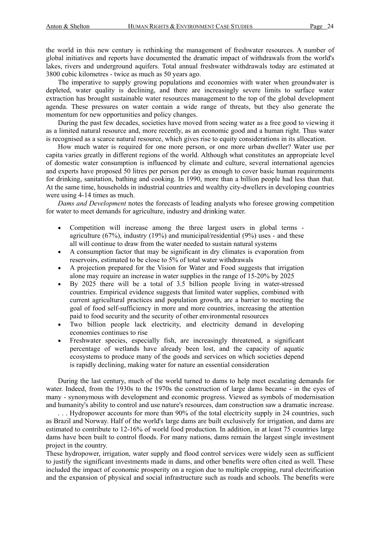the world in this new century is rethinking the management of freshwater resources. A number of global initiatives and reports have documented the dramatic impact of withdrawals from the world's lakes, rivers and underground aquifers. Total annual freshwater withdrawals today are estimated at 3800 cubic kilometres - twice as much as 50 years ago.

The imperative to supply growing populations and economies with water when groundwater is depleted, water quality is declining, and there are increasingly severe limits to surface water extraction has brought sustainable water resources management to the top of the global development agenda. These pressures on water contain a wide range of threats, but they also generate the momentum for new opportunities and policy changes.

During the past few decades, societies have moved from seeing water as a free good to viewing it as a limited natural resource and, more recently, as an economic good and a human right. Thus water is recognised as a scarce natural resource, which gives rise to equity considerations in its allocation.

How much water is required for one more person, or one more urban dweller? Water use per capita varies greatly in different regions of the world. Although what constitutes an appropriate level of domestic water consumption is influenced by climate and culture, several international agencies and experts have proposed 50 litres per person per day as enough to cover basic human requirements for drinking, sanitation, bathing and cooking. In 1990, more than a billion people had less than that. At the same time, households in industrial countries and wealthy city-dwellers in developing countries were using 4-14 times as much.

*Dams and Development* notes the forecasts of leading analysts who foresee growing competition for water to meet demands for agriculture, industry and drinking water.

- Competition will increase among the three largest users in global terms agriculture  $(67%)$ , industry  $(19%)$  and municipal/residential  $(9%)$  uses - and these all will continue to draw from the water needed to sustain natural systems
- $\bullet$  A consumption factor that may be significant in dry climates is evaporation from reservoirs, estimated to be close to 5% of total water withdrawals
- A projection prepared for the Vision for Water and Food suggests that irrigation alone may require an increase in water supplies in the range of 15-20% by 2025
- $\bullet$  By 2025 there will be a total of 3.5 billion people living in water-stressed countries. Empirical evidence suggests that limited water supplies, combined with current agricultural practices and population growth, are a barrier to meeting the goal of food self-sufficiency in more and more countries, increasing the attention paid to food security and the security of other environmental resources
- Two billion people lack electricity, and electricity demand in developing economies continues to rise
- Freshwater species, especially fish, are increasingly threatened, a significant percentage of wetlands have already been lost, and the capacity of aquatic ecosystems to produce many of the goods and services on which societies depend is rapidly declining, making water for nature an essential consideration

During the last century, much of the world turned to dams to help meet escalating demands for water. Indeed, from the 1930s to the 1970s the construction of large dams became - in the eyes of many - synonymous with development and economic progress. Viewed as symbols of modernisation and humanity's ability to control and use nature's resources, dam construction saw a dramatic increase.

. . . Hydropower accounts for more than 90% of the total electricity supply in 24 countries, such as Brazil and Norway. Half of the world's large dams are built exclusively for irrigation, and dams are estimated to contribute to 12-16% of world food production. In addition, in at least 75 countries large dams have been built to control floods. For many nations, dams remain the largest single investment project in the country.

These hydropower, irrigation, water supply and flood control services were widely seen as sufficient to justify the significant investments made in dams, and other benefits were often cited as well. These included the impact of economic prosperity on a region due to multiple cropping, rural electrification and the expansion of physical and social infrastructure such as roads and schools. The benefits were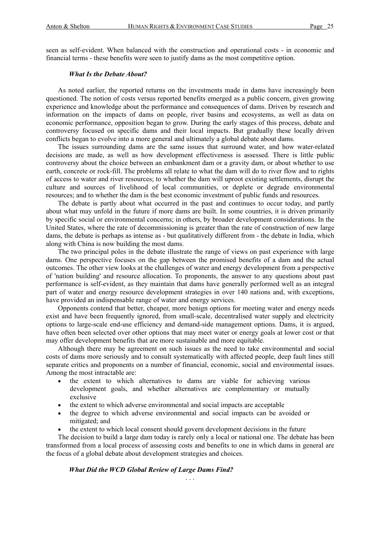seen as self-evident. When balanced with the construction and operational costs - in economic and financial terms - these benefits were seen to justify dams as the most competitive option.

#### *What Is the Debate About?*

As noted earlier, the reported returns on the investments made in dams have increasingly been questioned. The notion of costs versus reported benefits emerged as a public concern, given growing experience and knowledge about the performance and consequences of dams. Driven by research and information on the impacts of dams on people, river basins and ecosystems, as well as data on economic performance, opposition began to grow. During the early stages of this process, debate and controversy focused on specific dams and their local impacts. But gradually these locally driven conflicts began to evolve into a more general and ultimately a global debate about dams.

The issues surrounding dams are the same issues that surround water, and how water-related decisions are made, as well as how development effectiveness is assessed. There is little public controversy about the choice between an embankment dam or a gravity dam, or about whether to use earth, concrete or rock-fill. The problems all relate to what the dam will do to river flow and to rights of access to water and river resources; to whether the dam will uproot existing settlements, disrupt the culture and sources of livelihood of local communities, or deplete or degrade environmental resources; and to whether the dam is the best economic investment of public funds and resources.

The debate is partly about what occurred in the past and continues to occur today, and partly about what may unfold in the future if more dams are built. In some countries, it is driven primarily by specific social or environmental concerns; in others, by broader development considerations. In the United States, where the rate of decommissioning is greater than the rate of construction of new large dams, the debate is perhaps as intense as - but qualitatively different from - the debate in India, which along with China is now building the most dams.

The two principal poles in the debate illustrate the range of views on past experience with large dams. One perspective focuses on the gap between the promised benefits of a dam and the actual outcomes. The other view looks at the challenges of water and energy development from a perspective of 'nation building' and resource allocation. To proponents, the answer to any questions about past performance is self-evident, as they maintain that dams have generally performed well as an integral part of water and energy resource development strategies in over 140 nations and, with exceptions, have provided an indispensable range of water and energy services.

Opponents contend that better, cheaper, more benign options for meeting water and energy needs exist and have been frequently ignored, from small-scale, decentralised water supply and electricity options to large-scale end-use efficiency and demand-side management options. Dams, it is argued, have often been selected over other options that may meet water or energy goals at lower cost or that may offer development benefits that are more sustainable and more equitable.

Although there may be agreement on such issues as the need to take environmental and social costs of dams more seriously and to consult systematically with affected people, deep fault lines still separate critics and proponents on a number of financial, economic, social and environmental issues. Among the most intractable are:

- the extent to which alternatives to dams are viable for achieving various development goals, and whether alternatives are complementary or mutually exclusive
- the extent to which adverse environmental and social impacts are acceptable
- x the degree to which adverse environmental and social impacts can be avoided or mitigated; and
- the extent to which local consent should govern development decisions in the future

The decision to build a large dam today is rarely only a local or national one. The debate has been transformed from a local process of assessing costs and benefits to one in which dams in general are the focus of a global debate about development strategies and choices.

#### *What Did the WCD Global Review of Large Dams Find?*

. . .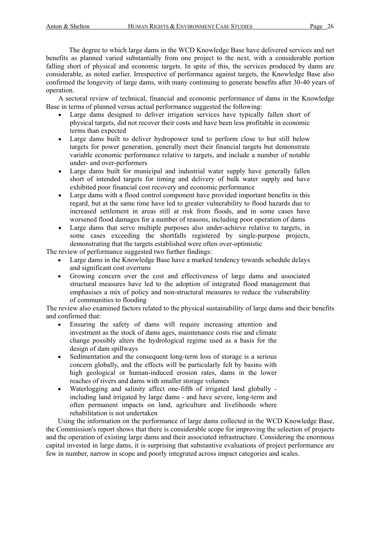The degree to which large dams in the WCD Knowledge Base have delivered services and net benefits as planned varied substantially from one project to the next, with a considerable portion falling short of physical and economic targets. In spite of this, the services produced by dams are considerable, as noted earlier. Irrespective of performance against targets, the Knowledge Base also confirmed the longevity of large dams, with many continuing to generate benefits after 30-40 years of operation.

A sectoral review of technical, financial and economic performance of dams in the Knowledge Base in terms of planned versus actual performance suggested the following:

- Large dams designed to deliver irrigation services have typically fallen short of physical targets, did not recover their costs and have been less profitable in economic terms than expected
- Large dams built to deliver hydropower tend to perform close to but still below targets for power generation, generally meet their financial targets but demonstrate variable economic performance relative to targets, and include a number of notable under- and over-performers
- Large dams built for municipal and industrial water supply have generally fallen short of intended targets for timing and delivery of bulk water supply and have exhibited poor financial cost recovery and economic performance
- Large dams with a flood control component have provided important benefits in this regard, but at the same time have led to greater vulnerability to flood hazards due to increased settlement in areas still at risk from floods, and in some cases have worsened flood damages for a number of reasons, including poor operation of dams
- Large dams that serve multiple purposes also under-achieve relative to targets, in some cases exceeding the shortfalls registered by single-purpose projects, demonstrating that the targets established were often over-optimistic

The review of performance suggested two further findings:

- Large dams in the Knowledge Base have a marked tendency towards schedule delays and significant cost overruns
- x Growing concern over the cost and effectiveness of large dams and associated structural measures have led to the adoption of integrated flood management that emphasises a mix of policy and non-structural measures to reduce the vulnerability of communities to flooding

The review also examined factors related to the physical sustainability of large dams and their benefits and confirmed that:

- Ensuring the safety of dams will require increasing attention and investment as the stock of dams ages, maintenance costs rise and climate change possibly alters the hydrological regime used as a basis for the design of dam spillways
- Sedimentation and the consequent long-term loss of storage is a serious concern globally, and the effects will be particularly felt by basins with high geological or human-induced erosion rates, dams in the lower reaches of rivers and dams with smaller storage volumes
- Waterlogging and salinity affect one-fifth of irrigated land globally including land irrigated by large dams - and have severe, long-term and often permanent impacts on land, agriculture and livelihoods where rehabilitation is not undertaken

Using the information on the performance of large dams collected in the WCD Knowledge Base, the Commission's report shows that there is considerable scope for improving the selection of projects and the operation of existing large dams and their associated infrastructure. Considering the enormous capital invested in large dams, it is surprising that substantive evaluations of project performance are few in number, narrow in scope and poorly integrated across impact categories and scales.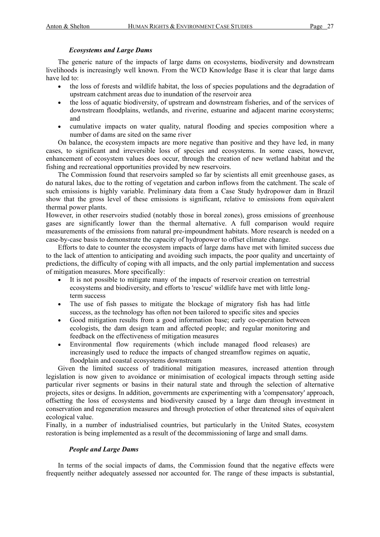#### *Ecosystems and Large Dams*

The generic nature of the impacts of large dams on ecosystems, biodiversity and downstream livelihoods is increasingly well known. From the WCD Knowledge Base it is clear that large dams have led to:

- the loss of forests and wildlife habitat, the loss of species populations and the degradation of upstream catchment areas due to inundation of the reservoir area
- the loss of aquatic biodiversity, of upstream and downstream fisheries, and of the services of downstream floodplains, wetlands, and riverine, estuarine and adjacent marine ecosystems; and
- cumulative impacts on water quality, natural flooding and species composition where a number of dams are sited on the same river

On balance, the ecosystem impacts are more negative than positive and they have led, in many cases, to significant and irreversible loss of species and ecosystems. In some cases, however, enhancement of ecosystem values does occur, through the creation of new wetland habitat and the fishing and recreational opportunities provided by new reservoirs.

The Commission found that reservoirs sampled so far by scientists all emit greenhouse gases, as do natural lakes, due to the rotting of vegetation and carbon inflows from the catchment. The scale of such emissions is highly variable. Preliminary data from a Case Study hydropower dam in Brazil show that the gross level of these emissions is significant, relative to emissions from equivalent thermal power plants.

However, in other reservoirs studied (notably those in boreal zones), gross emissions of greenhouse gases are significantly lower than the thermal alternative. A full comparison would require measurements of the emissions from natural pre-impoundment habitats. More research is needed on a case-by-case basis to demonstrate the capacity of hydropower to offset climate change.

Efforts to date to counter the ecosystem impacts of large dams have met with limited success due to the lack of attention to anticipating and avoiding such impacts, the poor quality and uncertainty of predictions, the difficulty of coping with all impacts, and the only partial implementation and success of mitigation measures. More specifically:

- It is not possible to mitigate many of the impacts of reservoir creation on terrestrial ecosystems and biodiversity, and efforts to 'rescue' wildlife have met with little longterm success
- The use of fish passes to mitigate the blockage of migratory fish has had little success, as the technology has often not been tailored to specific sites and species
- Good mitigation results from a good information base; early co-operation between ecologists, the dam design team and affected people; and regular monitoring and feedback on the effectiveness of mitigation measures
- Environmental flow requirements (which include managed flood releases) are increasingly used to reduce the impacts of changed streamflow regimes on aquatic, floodplain and coastal ecosystems downstream

Given the limited success of traditional mitigation measures, increased attention through legislation is now given to avoidance or minimisation of ecological impacts through setting aside particular river segments or basins in their natural state and through the selection of alternative projects, sites or designs. In addition, governments are experimenting with a 'compensatory' approach, offsetting the loss of ecosystems and biodiversity caused by a large dam through investment in conservation and regeneration measures and through protection of other threatened sites of equivalent ecological value.

Finally, in a number of industrialised countries, but particularly in the United States, ecosystem restoration is being implemented as a result of the decommissioning of large and small dams.

#### *People and Large Dams*

In terms of the social impacts of dams, the Commission found that the negative effects were frequently neither adequately assessed nor accounted for. The range of these impacts is substantial,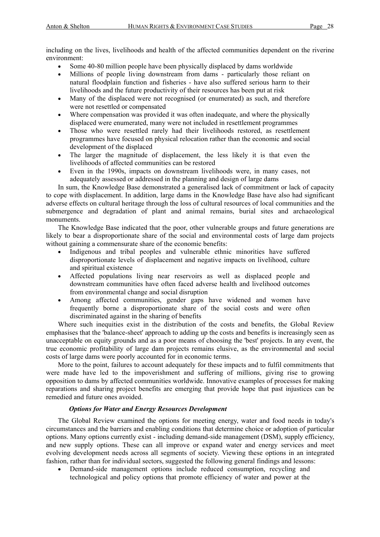including on the lives, livelihoods and health of the affected communities dependent on the riverine environment:

- Some 40-80 million people have been physically displaced by dams worldwide<br>• Millions of people living downstream from dams narticularly those relia
- x Millions of people living downstream from dams particularly those reliant on natural floodplain function and fisheries - have also suffered serious harm to their livelihoods and the future productivity of their resources has been put at risk
- Many of the displaced were not recognised (or enumerated) as such, and therefore were not resettled or compensated
- Where compensation was provided it was often inadequate, and where the physically displaced were enumerated, many were not included in resettlement programmes
- Those who were resettled rarely had their livelihoods restored, as resettlement programmes have focused on physical relocation rather than the economic and social development of the displaced
- The larger the magnitude of displacement, the less likely it is that even the livelihoods of affected communities can be restored
- Even in the 1990s, impacts on downstream livelihoods were, in many cases, not adequately assessed or addressed in the planning and design of large dams

In sum, the Knowledge Base demonstrated a generalised lack of commitment or lack of capacity to cope with displacement. In addition, large dams in the Knowledge Base have also had significant adverse effects on cultural heritage through the loss of cultural resources of local communities and the submergence and degradation of plant and animal remains, burial sites and archaeological monuments.

The Knowledge Base indicated that the poor, other vulnerable groups and future generations are likely to bear a disproportionate share of the social and environmental costs of large dam projects without gaining a commensurate share of the economic benefits:

- Indigenous and tribal peoples and vulnerable ethnic minorities have suffered disproportionate levels of displacement and negative impacts on livelihood, culture and spiritual existence
- Affected populations living near reservoirs as well as displaced people and downstream communities have often faced adverse health and livelihood outcomes from environmental change and social disruption
- Among affected communities, gender gaps have widened and women have frequently borne a disproportionate share of the social costs and were often discriminated against in the sharing of benefits

Where such inequities exist in the distribution of the costs and benefits, the Global Review emphasises that the 'balance-sheet' approach to adding up the costs and benefits is increasingly seen as unacceptable on equity grounds and as a poor means of choosing the 'best' projects. In any event, the true economic profitability of large dam projects remains elusive, as the environmental and social costs of large dams were poorly accounted for in economic terms.

More to the point, failures to account adequately for these impacts and to fulfil commitments that were made have led to the impoverishment and suffering of millions, giving rise to growing opposition to dams by affected communities worldwide. Innovative examples of processes for making reparations and sharing project benefits are emerging that provide hope that past injustices can be remedied and future ones avoided.

## *Options for Water and Energy Resources Development*

The Global Review examined the options for meeting energy, water and food needs in today's circumstances and the barriers and enabling conditions that determine choice or adoption of particular options. Many options currently exist - including demand-side management (DSM), supply efficiency, and new supply options. These can all improve or expand water and energy services and meet evolving development needs across all segments of society. Viewing these options in an integrated fashion, rather than for individual sectors, suggested the following general findings and lessons:

• Demand-side management options include reduced consumption, recycling and technological and policy options that promote efficiency of water and power at the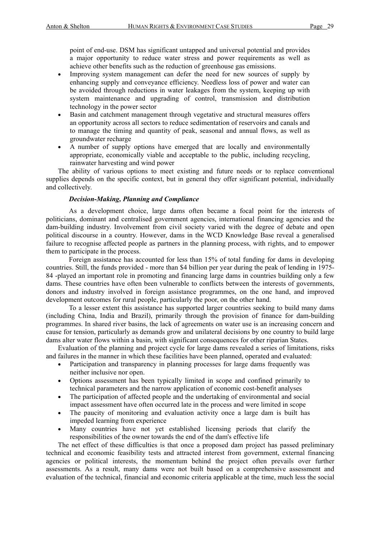point of end-use. DSM has significant untapped and universal potential and provides a major opportunity to reduce water stress and power requirements as well as achieve other benefits such as the reduction of greenhouse gas emissions.

- Improving system management can defer the need for new sources of supply by enhancing supply and conveyance efficiency. Needless loss of power and water can be avoided through reductions in water leakages from the system, keeping up with system maintenance and upgrading of control, transmission and distribution technology in the power sector
- Basin and catchment management through vegetative and structural measures offers an opportunity across all sectors to reduce sedimentation of reservoirs and canals and to manage the timing and quantity of peak, seasonal and annual flows, as well as groundwater recharge
- A number of supply options have emerged that are locally and environmentally appropriate, economically viable and acceptable to the public, including recycling, rainwater harvesting and wind power

The ability of various options to meet existing and future needs or to replace conventional supplies depends on the specific context, but in general they offer significant potential, individually and collectively.

#### *Decision-Making, Planning and Compliance*

As a development choice, large dams often became a focal point for the interests of politicians, dominant and centralised government agencies, international financing agencies and the dam-building industry. Involvement from civil society varied with the degree of debate and open political discourse in a country. However, dams in the WCD Knowledge Base reveal a generalised failure to recognise affected people as partners in the planning process, with rights, and to empower them to participate in the process.

Foreign assistance has accounted for less than 15% of total funding for dams in developing countries. Still, the funds provided - more than \$4 billion per year during the peak of lending in 1975- 84 -played an important role in promoting and financing large dams in countries building only a few dams. These countries have often been vulnerable to conflicts between the interests of governments, donors and industry involved in foreign assistance programmes, on the one hand, and improved development outcomes for rural people, particularly the poor, on the other hand.

To a lesser extent this assistance has supported larger countries seeking to build many dams (including China, India and Brazil), primarily through the provision of finance for dam-building programmes. In shared river basins, the lack of agreements on water use is an increasing concern and cause for tension, particularly as demands grow and unilateral decisions by one country to build large dams alter water flows within a basin, with significant consequences for other riparian States.

Evaluation of the planning and project cycle for large dams revealed a series of limitations, risks and failures in the manner in which these facilities have been planned, operated and evaluated:

- Participation and transparency in planning processes for large dams frequently was neither inclusive nor open.
- Options assessment has been typically limited in scope and confined primarily to technical parameters and the narrow application of economic cost-benefit analyses
- The participation of affected people and the undertaking of environmental and social impact assessment have often occurred late in the process and were limited in scope
- The paucity of monitoring and evaluation activity once a large dam is built has impeded learning from experience
- Many countries have not yet established licensing periods that clarify the responsibilities of the owner towards the end of the dam's effective life

The net effect of these difficulties is that once a proposed dam project has passed preliminary technical and economic feasibility tests and attracted interest from government, external financing agencies or political interests, the momentum behind the project often prevails over further assessments. As a result, many dams were not built based on a comprehensive assessment and evaluation of the technical, financial and economic criteria applicable at the time, much less the social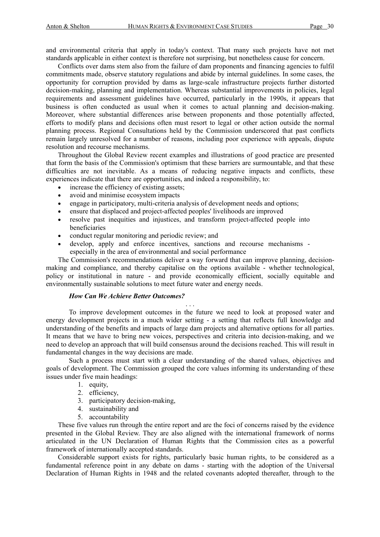and environmental criteria that apply in today's context. That many such projects have not met standards applicable in either context is therefore not surprising, but nonetheless cause for concern.

Conflicts over dams stem also from the failure of dam proponents and financing agencies to fulfil commitments made, observe statutory regulations and abide by internal guidelines. In some cases, the opportunity for corruption provided by dams as large-scale infrastructure projects further distorted decision-making, planning and implementation. Whereas substantial improvements in policies, legal requirements and assessment guidelines have occurred, particularly in the 1990s, it appears that business is often conducted as usual when it comes to actual planning and decision-making. Moreover, where substantial differences arise between proponents and those potentially affected, efforts to modify plans and decisions often must resort to legal or other action outside the normal planning process. Regional Consultations held by the Commission underscored that past conflicts remain largely unresolved for a number of reasons, including poor experience with appeals, dispute resolution and recourse mechanisms.

Throughout the Global Review recent examples and illustrations of good practice are presented that form the basis of the Commission's optimism that these barriers are surmountable, and that these difficulties are not inevitable. As a means of reducing negative impacts and conflicts, these experiences indicate that there are opportunities, and indeed a responsibility, to:

- $\bullet$  increase the efficiency of existing assets;
- avoid and minimise ecosystem impacts
- $\bullet$  engage in participatory, multi-criteria analysis of development needs and options;
- x ensure that displaced and project-affected peoples' livelihoods are improved
- resolve past inequities and injustices, and transform project-affected people into beneficiaries
- conduct regular monitoring and periodic review; and
- develop, apply and enforce incentives, sanctions and recourse mechanisms especially in the area of environmental and social performance

The Commission's recommendations deliver a way forward that can improve planning, decisionmaking and compliance, and thereby capitalise on the options available - whether technological, policy or institutional in nature - and provide economically efficient, socially equitable and environmentally sustainable solutions to meet future water and energy needs.

#### *How Can We Achieve Better Outcomes?*

. . . To improve development outcomes in the future we need to look at proposed water and energy development projects in a much wider setting - a setting that reflects full knowledge and understanding of the benefits and impacts of large dam projects and alternative options for all parties. It means that we have to bring new voices, perspectives and criteria into decision-making, and we need to develop an approach that will build consensus around the decisions reached. This will result in fundamental changes in the way decisions are made.

Such a process must start with a clear understanding of the shared values, objectives and goals of development. The Commission grouped the core values informing its understanding of these issues under five main headings:

- 1. equity,
- 2. efficiency,
- 3. participatory decision-making,
- 4. sustainability and
- 5. accountability

These five values run through the entire report and are the foci of concerns raised by the evidence presented in the Global Review. They are also aligned with the international framework of norms articulated in the UN Declaration of Human Rights that the Commission cites as a powerful framework of internationally accepted standards.

Considerable support exists for rights, particularly basic human rights, to be considered as a fundamental reference point in any debate on dams - starting with the adoption of the Universal Declaration of Human Rights in 1948 and the related covenants adopted thereafter, through to the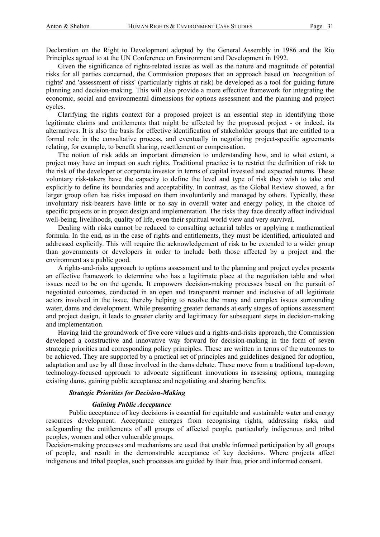Declaration on the Right to Development adopted by the General Assembly in 1986 and the Rio Principles agreed to at the UN Conference on Environment and Development in 1992.

Given the significance of rights-related issues as well as the nature and magnitude of potential risks for all parties concerned, the Commission proposes that an approach based on 'recognition of rights' and 'assessment of risks' (particularly rights at risk) be developed as a tool for guiding future planning and decision-making. This will also provide a more effective framework for integrating the economic, social and environmental dimensions for options assessment and the planning and project cycles.

Clarifying the rights context for a proposed project is an essential step in identifying those legitimate claims and entitlements that might be affected by the proposed project - or indeed, its alternatives. It is also the basis for effective identification of stakeholder groups that are entitled to a formal role in the consultative process, and eventually in negotiating project-specific agreements relating, for example, to benefit sharing, resettlement or compensation.

The notion of risk adds an important dimension to understanding how, and to what extent, a project may have an impact on such rights. Traditional practice is to restrict the definition of risk to the risk of the developer or corporate investor in terms of capital invested and expected returns. These voluntary risk-takers have the capacity to define the level and type of risk they wish to take and explicitly to define its boundaries and acceptability. In contrast, as the Global Review showed, a far larger group often has risks imposed on them involuntarily and managed by others. Typically, these involuntary risk-bearers have little or no say in overall water and energy policy, in the choice of specific projects or in project design and implementation. The risks they face directly affect individual well-being, livelihoods, quality of life, even their spiritual world view and very survival.

Dealing with risks cannot be reduced to consulting actuarial tables or applying a mathematical formula. In the end, as in the case of rights and entitlements, they must be identified, articulated and addressed explicitly. This will require the acknowledgement of risk to be extended to a wider group than governments or developers in order to include both those affected by a project and the environment as a public good.

A rights-and-risks approach to options assessment and to the planning and project cycles presents an effective framework to determine who has a legitimate place at the negotiation table and what issues need to be on the agenda. It empowers decision-making processes based on the pursuit of negotiated outcomes, conducted in an open and transparent manner and inclusive of all legitimate actors involved in the issue, thereby helping to resolve the many and complex issues surrounding water, dams and development. While presenting greater demands at early stages of options assessment and project design, it leads to greater clarity and legitimacy for subsequent steps in decision-making and implementation.

Having laid the groundwork of five core values and a rights-and-risks approach, the Commission developed a constructive and innovative way forward for decision-making in the form of seven strategic priorities and corresponding policy principles. These are written in terms of the outcomes to be achieved. They are supported by a practical set of principles and guidelines designed for adoption, adaptation and use by all those involved in the dams debate. These move from a traditional top-down, technology-focused approach to advocate significant innovations in assessing options, managing existing dams, gaining public acceptance and negotiating and sharing benefits.

#### *Strategic Priorities for Decision-Making*

#### *Gaining Public Acceptance*

Public acceptance of key decisions is essential for equitable and sustainable water and energy resources development. Acceptance emerges from recognising rights, addressing risks, and safeguarding the entitlements of all groups of affected people, particularly indigenous and tribal peoples, women and other vulnerable groups.

Decision-making processes and mechanisms are used that enable informed participation by all groups of people, and result in the demonstrable acceptance of key decisions. Where projects affect indigenous and tribal peoples, such processes are guided by their free, prior and informed consent.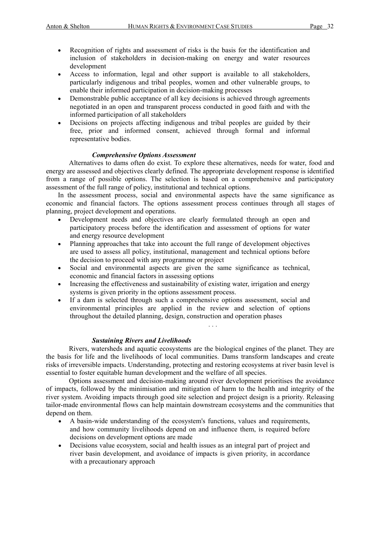- Recognition of rights and assessment of risks is the basis for the identification and inclusion of stakeholders in decision-making on energy and water resources development
- x Access to information, legal and other support is available to all stakeholders, particularly indigenous and tribal peoples, women and other vulnerable groups, to enable their informed participation in decision-making processes
- Demonstrable public acceptance of all key decisions is achieved through agreements negotiated in an open and transparent process conducted in good faith and with the informed participation of all stakeholders
- Decisions on projects affecting indigenous and tribal peoples are guided by their free, prior and informed consent, achieved through formal and informal representative bodies.

#### *Comprehensive Options Assessment*

Alternatives to dams often do exist. To explore these alternatives, needs for water, food and energy are assessed and objectives clearly defined. The appropriate development response is identified from a range of possible options. The selection is based on a comprehensive and participatory assessment of the full range of policy, institutional and technical options.

In the assessment process, social and environmental aspects have the same significance as economic and financial factors. The options assessment process continues through all stages of planning, project development and operations.

- Development needs and objectives are clearly formulated through an open and participatory process before the identification and assessment of options for water and energy resource development
- Planning approaches that take into account the full range of development objectives are used to assess all policy, institutional, management and technical options before the decision to proceed with any programme or project
- Social and environmental aspects are given the same significance as technical, economic and financial factors in assessing options
- $\bullet$  Increasing the effectiveness and sustainability of existing water, irrigation and energy systems is given priority in the options assessment process.
- If a dam is selected through such a comprehensive options assessment, social and environmental principles are applied in the review and selection of options throughout the detailed planning, design, construction and operation phases

#### *Sustaining Rivers and Livelihoods*

Rivers, watersheds and aquatic ecosystems are the biological engines of the planet. They are the basis for life and the livelihoods of local communities. Dams transform landscapes and create risks of irreversible impacts. Understanding, protecting and restoring ecosystems at river basin level is essential to foster equitable human development and the welfare of all species.

*. . .* 

Options assessment and decision-making around river development prioritises the avoidance of impacts, followed by the minimisation and mitigation of harm to the health and integrity of the river system. Avoiding impacts through good site selection and project design is a priority. Releasing tailor-made environmental flows can help maintain downstream ecosystems and the communities that depend on them.

- x A basin-wide understanding of the ecosystem's functions, values and requirements, and how community livelihoods depend on and influence them, is required before decisions on development options are made
- Decisions value ecosystem, social and health issues as an integral part of project and river basin development, and avoidance of impacts is given priority, in accordance with a precautionary approach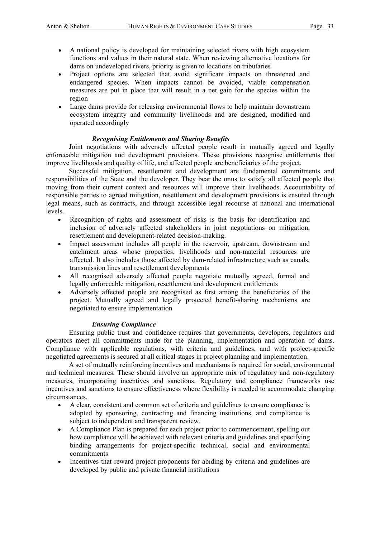- A national policy is developed for maintaining selected rivers with high ecosystem functions and values in their natural state. When reviewing alternative locations for dams on undeveloped rivers, priority is given to locations on tributaries
- Project options are selected that avoid significant impacts on threatened and endangered species. When impacts cannot be avoided, viable compensation measures are put in place that will result in a net gain for the species within the region
- Large dams provide for releasing environmental flows to help maintain downstream ecosystem integrity and community livelihoods and are designed, modified and operated accordingly

## *Recognising Entitlements and Sharing Benefits*

Joint negotiations with adversely affected people result in mutually agreed and legally enforceable mitigation and development provisions. These provisions recognise entitlements that improve livelihoods and quality of life, and affected people are beneficiaries of the project.

Successful mitigation, resettlement and development are fundamental commitments and responsibilities of the State and the developer. They bear the onus to satisfy all affected people that moving from their current context and resources will improve their livelihoods. Accountability of responsible parties to agreed mitigation, resettlement and development provisions is ensured through legal means, such as contracts, and through accessible legal recourse at national and international levels.

- x Recognition of rights and assessment of risks is the basis for identification and inclusion of adversely affected stakeholders in joint negotiations on mitigation, resettlement and development-related decision-making.
- Impact assessment includes all people in the reservoir, upstream, downstream and catchment areas whose properties, livelihoods and non-material resources are affected. It also includes those affected by dam-related infrastructure such as canals, transmission lines and resettlement developments
- All recognised adversely affected people negotiate mutually agreed, formal and legally enforceable mitigation, resettlement and development entitlements
- Adversely affected people are recognised as first among the beneficiaries of the project. Mutually agreed and legally protected benefit-sharing mechanisms are negotiated to ensure implementation

### *Ensuring Compliance*

Ensuring public trust and confidence requires that governments, developers, regulators and operators meet all commitments made for the planning, implementation and operation of dams. Compliance with applicable regulations, with criteria and guidelines, and with project-specific negotiated agreements is secured at all critical stages in project planning and implementation.

A set of mutually reinforcing incentives and mechanisms is required for social, environmental and technical measures. These should involve an appropriate mix of regulatory and non-regulatory measures, incorporating incentives and sanctions. Regulatory and compliance frameworks use incentives and sanctions to ensure effectiveness where flexibility is needed to accommodate changing circumstances.

- A clear, consistent and common set of criteria and guidelines to ensure compliance is adopted by sponsoring, contracting and financing institutions, and compliance is subject to independent and transparent review.
- A Compliance Plan is prepared for each project prior to commencement, spelling out how compliance will be achieved with relevant criteria and guidelines and specifying binding arrangements for project-specific technical, social and environmental commitments
- Incentives that reward project proponents for abiding by criteria and guidelines are developed by public and private financial institutions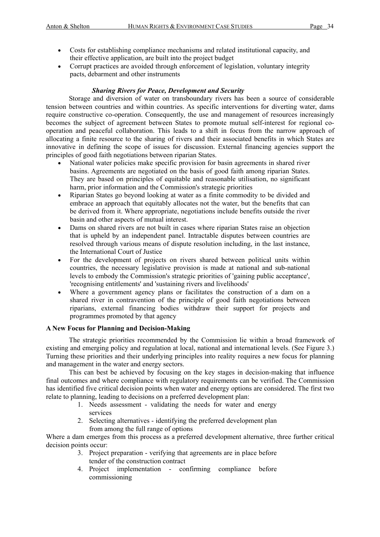- Costs for establishing compliance mechanisms and related institutional capacity, and their effective application, are built into the project budget
- Corrupt practices are avoided through enforcement of legislation, voluntary integrity pacts, debarment and other instruments

## *Sharing Rivers for Peace, Development and Security*

Storage and diversion of water on transboundary rivers has been a source of considerable tension between countries and within countries. As specific interventions for diverting water, dams require constructive co-operation. Consequently, the use and management of resources increasingly becomes the subject of agreement between States to promote mutual self-interest for regional cooperation and peaceful collaboration. This leads to a shift in focus from the narrow approach of allocating a finite resource to the sharing of rivers and their associated benefits in which States are innovative in defining the scope of issues for discussion. External financing agencies support the principles of good faith negotiations between riparian States.

- National water policies make specific provision for basin agreements in shared river basins. Agreements are negotiated on the basis of good faith among riparian States. They are based on principles of equitable and reasonable utilisation, no significant harm, prior information and the Commission's strategic priorities
- Riparian States go beyond looking at water as a finite commodity to be divided and embrace an approach that equitably allocates not the water, but the benefits that can be derived from it. Where appropriate, negotiations include benefits outside the river basin and other aspects of mutual interest.
- Dams on shared rivers are not built in cases where riparian States raise an objection that is upheld by an independent panel. Intractable disputes between countries are resolved through various means of dispute resolution including, in the last instance, the International Court of Justice
- For the development of projects on rivers shared between political units within countries, the necessary legislative provision is made at national and sub-national levels to embody the Commission's strategic priorities of 'gaining public acceptance', 'recognising entitlements' and 'sustaining rivers and livelihoods'
- x Where a government agency plans or facilitates the construction of a dam on a shared river in contravention of the principle of good faith negotiations between riparians, external financing bodies withdraw their support for projects and programmes promoted by that agency

## **A New Focus for Planning and Decision-Making**

The strategic priorities recommended by the Commission lie within a broad framework of existing and emerging policy and regulation at local, national and international levels. (See Figure 3.) Turning these priorities and their underlying principles into reality requires a new focus for planning and management in the water and energy sectors.

This can best be achieved by focusing on the key stages in decision-making that influence final outcomes and where compliance with regulatory requirements can be verified. The Commission has identified five critical decision points when water and energy options are considered. The first two relate to planning, leading to decisions on a preferred development plan:

- 1. Needs assessment validating the needs for water and energy services
- 2. Selecting alternatives identifying the preferred development plan from among the full range of options

Where a dam emerges from this process as a preferred development alternative, three further critical decision points occur:

- 3. Project preparation verifying that agreements are in place before tender of the construction contract
- 4. Project implementation confirming compliance before commissioning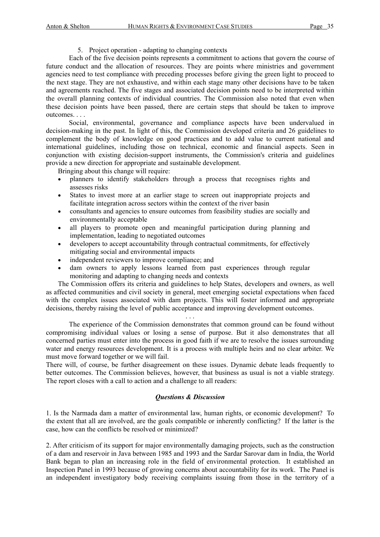5. Project operation - adapting to changing contexts

Each of the five decision points represents a commitment to actions that govern the course of future conduct and the allocation of resources. They are points where ministries and government agencies need to test compliance with preceding processes before giving the green light to proceed to the next stage. They are not exhaustive, and within each stage many other decisions have to be taken and agreements reached. The five stages and associated decision points need to be interpreted within the overall planning contexts of individual countries. The Commission also noted that even when these decision points have been passed, there are certain steps that should be taken to improve outcomes. . . .

Social, environmental, governance and compliance aspects have been undervalued in decision-making in the past. In light of this, the Commission developed criteria and 26 guidelines to complement the body of knowledge on good practices and to add value to current national and international guidelines, including those on technical, economic and financial aspects. Seen in conjunction with existing decision-support instruments, the Commission's criteria and guidelines provide a new direction for appropriate and sustainable development.

Bringing about this change will require:

- x planners to identify stakeholders through a process that recognises rights and assesses risks
- States to invest more at an earlier stage to screen out inappropriate projects and facilitate integration across sectors within the context of the river basin
- consultants and agencies to ensure outcomes from feasibility studies are socially and environmentally acceptable
- x all players to promote open and meaningful participation during planning and implementation, leading to negotiated outcomes
- $\bullet$  developers to accept accountability through contractual commitments, for effectively mitigating social and environmental impacts
- independent reviewers to improve compliance; and
- dam owners to apply lessons learned from past experiences through regular monitoring and adapting to changing needs and contexts

The Commission offers its criteria and guidelines to help States, developers and owners, as well as affected communities and civil society in general, meet emerging societal expectations when faced with the complex issues associated with dam projects. This will foster informed and appropriate decisions, thereby raising the level of public acceptance and improving development outcomes.

. . .

The experience of the Commission demonstrates that common ground can be found without compromising individual values or losing a sense of purpose. But it also demonstrates that all concerned parties must enter into the process in good faith if we are to resolve the issues surrounding water and energy resources development. It is a process with multiple heirs and no clear arbiter. We must move forward together or we will fail.

There will, of course, be further disagreement on these issues. Dynamic debate leads frequently to better outcomes. The Commission believes, however, that business as usual is not a viable strategy. The report closes with a call to action and a challenge to all readers:

#### *Questions & Discussion*

1. Is the Narmada dam a matter of environmental law, human rights, or economic development? To the extent that all are involved, are the goals compatible or inherently conflicting? If the latter is the case, how can the conflicts be resolved or minimized?

2. After criticism of its support for major environmentally damaging projects, such as the construction of a dam and reservoir in Java between 1985 and 1993 and the Sardar Sarovar dam in India, the World Bank began to plan an increasing role in the field of environmental protection. It established an Inspection Panel in 1993 because of growing concerns about accountability for its work. The Panel is an independent investigatory body receiving complaints issuing from those in the territory of a